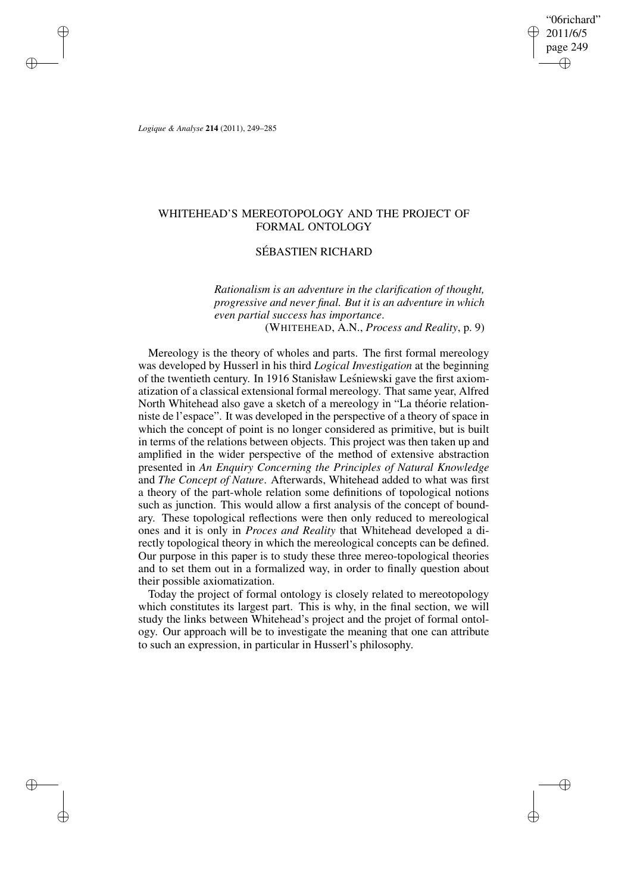"06richard" 2011/6/5 page 249 ✐ ✐

✐

✐

*Logique & Analyse* **214** (2011), 249–285

✐

✐

✐

✐

# WHITEHEAD'S MEREOTOPOLOGY AND THE PROJECT OF FORMAL ONTOLOGY

## SÉBASTIEN RICHARD

*Rationalism is an adventure in the clarification of thought, progressive and never final. But it is an adventure in which even partial success has importance*. (WHITEHEAD, A.N., *Process and Reality*, p. 9)

Mereology is the theory of wholes and parts. The first formal mereology was developed by Husserl in his third *Logical Investigation* at the beginning of the twentieth century. In 1916 Stanisław Leśniewski gave the first axiomatization of a classical extensional formal mereology. That same year, Alfred North Whitehead also gave a sketch of a mereology in "La théorie relationniste de l'espace". It was developed in the perspective of a theory of space in which the concept of point is no longer considered as primitive, but is built in terms of the relations between objects. This project was then taken up and amplified in the wider perspective of the method of extensive abstraction presented in *An Enquiry Concerning the Principles of Natural Knowledge* and *The Concept of Nature*. Afterwards, Whitehead added to what was first a theory of the part-whole relation some definitions of topological notions such as junction. This would allow a first analysis of the concept of boundary. These topological reflections were then only reduced to mereological ones and it is only in *Proces and Reality* that Whitehead developed a directly topological theory in which the mereological concepts can be defined. Our purpose in this paper is to study these three mereo-topological theories and to set them out in a formalized way, in order to finally question about their possible axiomatization.

Today the project of formal ontology is closely related to mereotopology which constitutes its largest part. This is why, in the final section, we will study the links between Whitehead's project and the projet of formal ontology. Our approach will be to investigate the meaning that one can attribute to such an expression, in particular in Husserl's philosophy.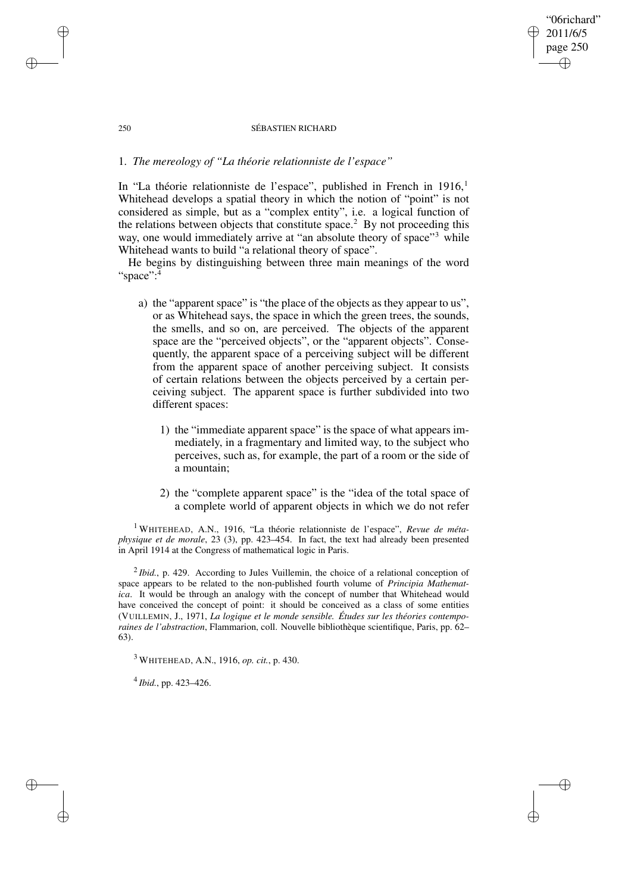## "06richard" 2011/6/5 page 250 ✐ ✐

✐

✐

### 250 SÉBASTIEN RICHARD

## 1. *The mereology of "La théorie relationniste de l'espace"*

In "La théorie relationniste de l'espace", published in French in  $1916$ , Whitehead develops a spatial theory in which the notion of "point" is not considered as simple, but as a "complex entity", i.e. a logical function of the relations between objects that constitute space.<sup>2</sup> By not proceeding this way, one would immediately arrive at "an absolute theory of space"<sup>3</sup> while Whitehead wants to build "a relational theory of space".

He begins by distinguishing between three main meanings of the word "space":<sup>4</sup>

- a) the "apparent space" is "the place of the objects as they appear to us", or as Whitehead says, the space in which the green trees, the sounds, the smells, and so on, are perceived. The objects of the apparent space are the "perceived objects", or the "apparent objects". Consequently, the apparent space of a perceiving subject will be different from the apparent space of another perceiving subject. It consists of certain relations between the objects perceived by a certain perceiving subject. The apparent space is further subdivided into two different spaces:
	- 1) the "immediate apparent space" is the space of what appears immediately, in a fragmentary and limited way, to the subject who perceives, such as, for example, the part of a room or the side of a mountain;
	- 2) the "complete apparent space" is the "idea of the total space of a complete world of apparent objects in which we do not refer

<sup>1</sup> WHITEHEAD, A.N., 1916, "La théorie relationniste de l'espace", *Revue de métaphysique et de morale*, 23 (3), pp. 423–454. In fact, the text had already been presented in April 1914 at the Congress of mathematical logic in Paris.

<sup>2</sup>*Ibid.*, p. 429. According to Jules Vuillemin, the choice of a relational conception of space appears to be related to the non-published fourth volume of *Principia Mathematica*. It would be through an analogy with the concept of number that Whitehead would have conceived the concept of point: it should be conceived as a class of some entities (VUILLEMIN, J., 1971, *La logique et le monde sensible. Études sur les théories contemporaines de l'abstraction*, Flammarion, coll. Nouvelle bibliothèque scientifique, Paris, pp. 62– 63).

<sup>3</sup> WHITEHEAD, A.N., 1916, *op. cit.*, p. 430.

4 *Ibid.*, pp. 423–426.

✐

✐

✐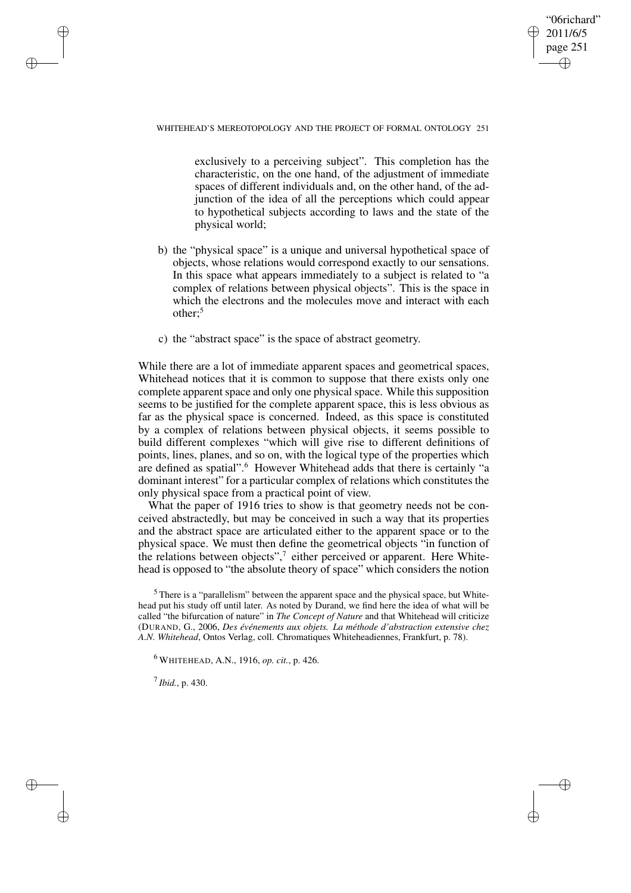"06richard" 2011/6/5 page 251 ✐ ✐

✐

✐

### WHITEHEAD'S MEREOTOPOLOGY AND THE PROJECT OF FORMAL ONTOLOGY 251

exclusively to a perceiving subject". This completion has the characteristic, on the one hand, of the adjustment of immediate spaces of different individuals and, on the other hand, of the adjunction of the idea of all the perceptions which could appear to hypothetical subjects according to laws and the state of the physical world;

- b) the "physical space" is a unique and universal hypothetical space of objects, whose relations would correspond exactly to our sensations. In this space what appears immediately to a subject is related to "a complex of relations between physical objects". This is the space in which the electrons and the molecules move and interact with each other:<sup>5</sup>
- c) the "abstract space" is the space of abstract geometry.

While there are a lot of immediate apparent spaces and geometrical spaces, Whitehead notices that it is common to suppose that there exists only one complete apparent space and only one physical space. While this supposition seems to be justified for the complete apparent space, this is less obvious as far as the physical space is concerned. Indeed, as this space is constituted by a complex of relations between physical objects, it seems possible to build different complexes "which will give rise to different definitions of points, lines, planes, and so on, with the logical type of the properties which are defined as spatial".<sup>6</sup> However Whitehead adds that there is certainly "a dominant interest" for a particular complex of relations which constitutes the only physical space from a practical point of view.

What the paper of 1916 tries to show is that geometry needs not be conceived abstractedly, but may be conceived in such a way that its properties and the abstract space are articulated either to the apparent space or to the physical space. We must then define the geometrical objects "in function of the relations between objects",<sup>7</sup> either perceived or apparent. Here Whitehead is opposed to "the absolute theory of space" which considers the notion

 $<sup>5</sup>$  There is a "parallelism" between the apparent space and the physical space, but White-</sup> head put his study off until later. As noted by Durand, we find here the idea of what will be called "the bifurcation of nature" in *The Concept of Nature* and that Whitehead will criticize (DURAND, G., 2006, *Des événements aux objets. La méthode d'abstraction extensive chez A.N. Whitehead*, Ontos Verlag, coll. Chromatiques Whiteheadiennes, Frankfurt, p. 78).

<sup>6</sup> WHITEHEAD, A.N., 1916, *op. cit.*, p. 426.

7 *Ibid.*, p. 430.

✐

✐

✐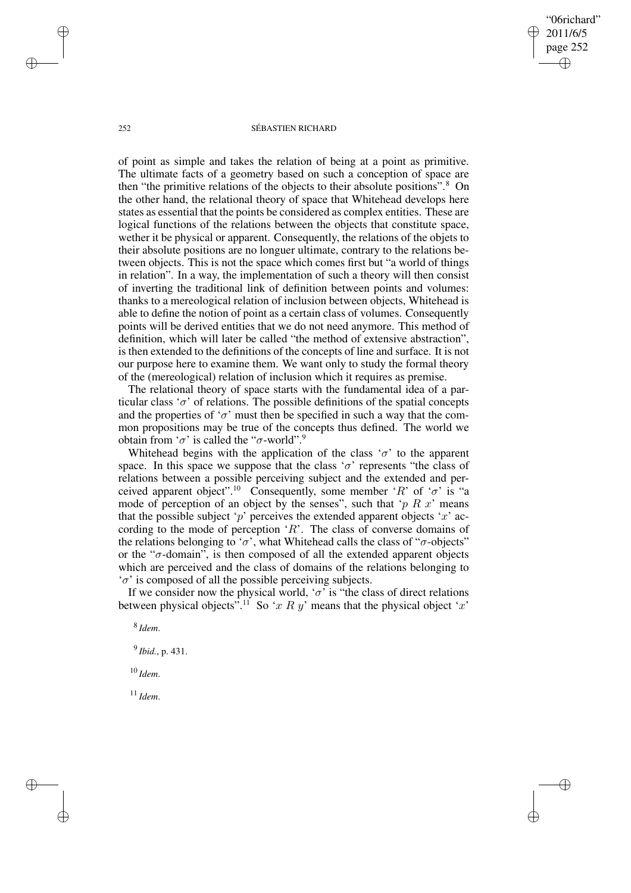"06richard" 2011/6/5 page 252 ✐ ✐

✐

✐

### 252 SÉBASTIEN RICHARD

of point as simple and takes the relation of being at a point as primitive. The ultimate facts of a geometry based on such a conception of space are then "the primitive relations of the objects to their absolute positions".<sup>8</sup> On the other hand, the relational theory of space that Whitehead develops here states as essential that the points be considered as complex entities. These are logical functions of the relations between the objects that constitute space, wether it be physical or apparent. Consequently, the relations of the objets to their absolute positions are no longuer ultimate, contrary to the relations between objects. This is not the space which comes first but "a world of things in relation". In a way, the implementation of such a theory will then consist of inverting the traditional link of definition between points and volumes: thanks to a mereological relation of inclusion between objects, Whitehead is able to define the notion of point as a certain class of volumes. Consequently points will be derived entities that we do not need anymore. This method of definition, which will later be called "the method of extensive abstraction", is then extended to the definitions of the concepts of line and surface. It is not our purpose here to examine them. We want only to study the formal theory of the (mereological) relation of inclusion which it requires as premise.

The relational theory of space starts with the fundamental idea of a particular class ' $\sigma$ ' of relations. The possible definitions of the spatial concepts and the properties of ' $\sigma$ ' must then be specified in such a way that the common propositions may be true of the concepts thus defined. The world we obtain from ' $\sigma$ ' is called the " $\sigma$ -world".<sup>9</sup>

Whitehead begins with the application of the class ' $\sigma$ ' to the apparent space. In this space we suppose that the class ' $\sigma$ ' represents "the class of relations between a possible perceiving subject and the extended and perceived apparent object".<sup>10</sup> Consequently, some member 'R' of ' $\sigma$ ' is "a mode of perception of an object by the senses", such that ' $p R x$ ' means that the possible subject 'p' perceives the extended apparent objects 'x' according to the mode of perception  $R$ . The class of converse domains of the relations belonging to ' $\sigma$ ', what Whitehead calls the class of " $\sigma$ -objects" or the " $\sigma$ -domain", is then composed of all the extended apparent objects which are perceived and the class of domains of the relations belonging to  $\sigma'$  is composed of all the possible perceiving subjects.

If we consider now the physical world, ' $\sigma$ ' is "the class of direct relations between physical objects<sup>".11</sup> So 'x R y' means that the physical object 'x'

8 *Idem*.

9 *Ibid.*, p. 431.

<sup>10</sup> *Idem*.

<sup>11</sup> *Idem*.

✐

✐

✐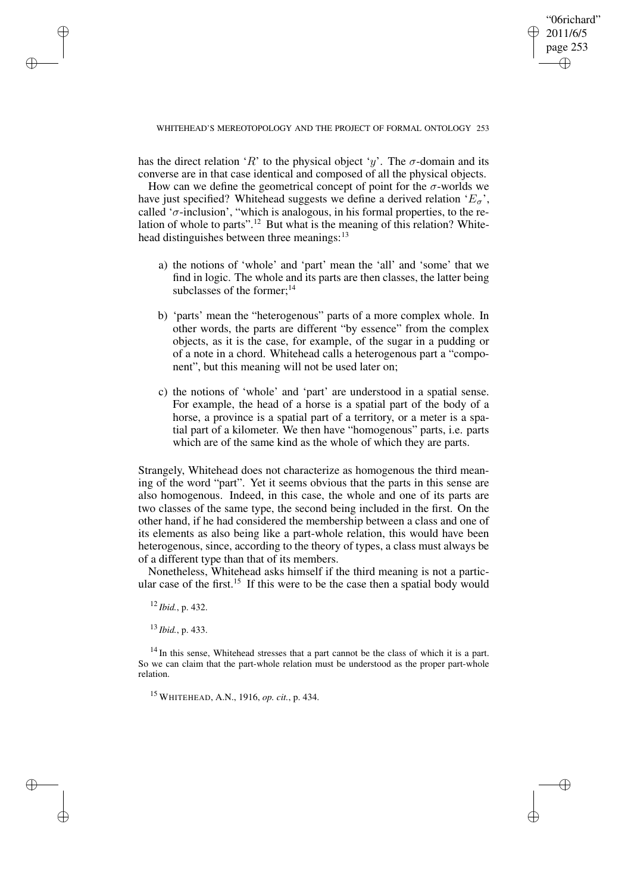✐

has the direct relation 'R' to the physical object 'y'. The  $\sigma$ -domain and its converse are in that case identical and composed of all the physical objects.

How can we define the geometrical concept of point for the  $\sigma$ -worlds we have just specified? Whitehead suggests we define a derived relation ' $E_{\sigma}$ ', called ' $\sigma$ -inclusion', "which is analogous, in his formal properties, to the relation of whole to parts".<sup>12</sup> But what is the meaning of this relation? Whitehead distinguishes between three meanings:<sup>13</sup>

- a) the notions of 'whole' and 'part' mean the 'all' and 'some' that we find in logic. The whole and its parts are then classes, the latter being subclasses of the former; $^{14}$
- b) 'parts' mean the "heterogenous" parts of a more complex whole. In other words, the parts are different "by essence" from the complex objects, as it is the case, for example, of the sugar in a pudding or of a note in a chord. Whitehead calls a heterogenous part a "component", but this meaning will not be used later on;
- c) the notions of 'whole' and 'part' are understood in a spatial sense. For example, the head of a horse is a spatial part of the body of a horse, a province is a spatial part of a territory, or a meter is a spatial part of a kilometer. We then have "homogenous" parts, i.e. parts which are of the same kind as the whole of which they are parts.

Strangely, Whitehead does not characterize as homogenous the third meaning of the word "part". Yet it seems obvious that the parts in this sense are also homogenous. Indeed, in this case, the whole and one of its parts are two classes of the same type, the second being included in the first. On the other hand, if he had considered the membership between a class and one of its elements as also being like a part-whole relation, this would have been heterogenous, since, according to the theory of types, a class must always be of a different type than that of its members.

Nonetheless, Whitehead asks himself if the third meaning is not a particular case of the first.<sup>15</sup> If this were to be the case then a spatial body would

<sup>12</sup> *Ibid.*, p. 432.

✐

✐

✐

✐

<sup>13</sup> *Ibid.*, p. 433.

 $14$  In this sense, Whitehead stresses that a part cannot be the class of which it is a part. So we can claim that the part-whole relation must be understood as the proper part-whole relation.

<sup>15</sup> WHITEHEAD, A.N., 1916, *op. cit.*, p. 434.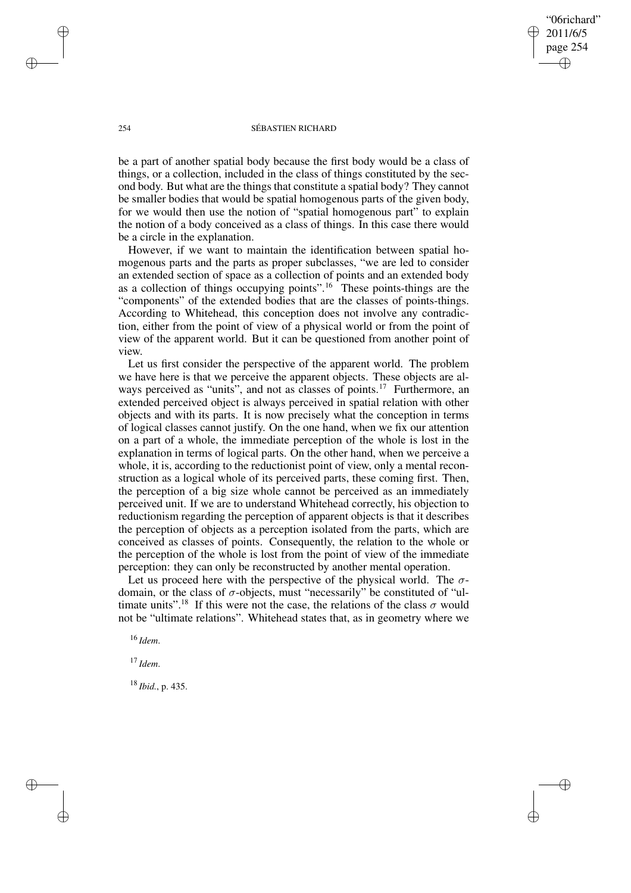"06richard" 2011/6/5 page 254 ✐ ✐

✐

✐

### 254 SÉBASTIEN RICHARD

be a part of another spatial body because the first body would be a class of things, or a collection, included in the class of things constituted by the second body. But what are the things that constitute a spatial body? They cannot be smaller bodies that would be spatial homogenous parts of the given body, for we would then use the notion of "spatial homogenous part" to explain the notion of a body conceived as a class of things. In this case there would be a circle in the explanation.

However, if we want to maintain the identification between spatial homogenous parts and the parts as proper subclasses, "we are led to consider an extended section of space as a collection of points and an extended body as a collection of things occupying points".<sup>16</sup> These points-things are the "components" of the extended bodies that are the classes of points-things. According to Whitehead, this conception does not involve any contradiction, either from the point of view of a physical world or from the point of view of the apparent world. But it can be questioned from another point of view.

Let us first consider the perspective of the apparent world. The problem we have here is that we perceive the apparent objects. These objects are always perceived as "units", and not as classes of points.<sup>17</sup> Furthermore, an extended perceived object is always perceived in spatial relation with other objects and with its parts. It is now precisely what the conception in terms of logical classes cannot justify. On the one hand, when we fix our attention on a part of a whole, the immediate perception of the whole is lost in the explanation in terms of logical parts. On the other hand, when we perceive a whole, it is, according to the reductionist point of view, only a mental reconstruction as a logical whole of its perceived parts, these coming first. Then, the perception of a big size whole cannot be perceived as an immediately perceived unit. If we are to understand Whitehead correctly, his objection to reductionism regarding the perception of apparent objects is that it describes the perception of objects as a perception isolated from the parts, which are conceived as classes of points. Consequently, the relation to the whole or the perception of the whole is lost from the point of view of the immediate perception: they can only be reconstructed by another mental operation.

Let us proceed here with the perspective of the physical world. The  $\sigma$ domain, or the class of  $\sigma$ -objects, must "necessarily" be constituted of "ultimate units".<sup>18</sup> If this were not the case, the relations of the class  $\sigma$  would not be "ultimate relations". Whitehead states that, as in geometry where we

<sup>16</sup> *Idem*.

<sup>17</sup> *Idem*.

✐

✐

<sup>18</sup> *Ibid.*, p. 435.

✐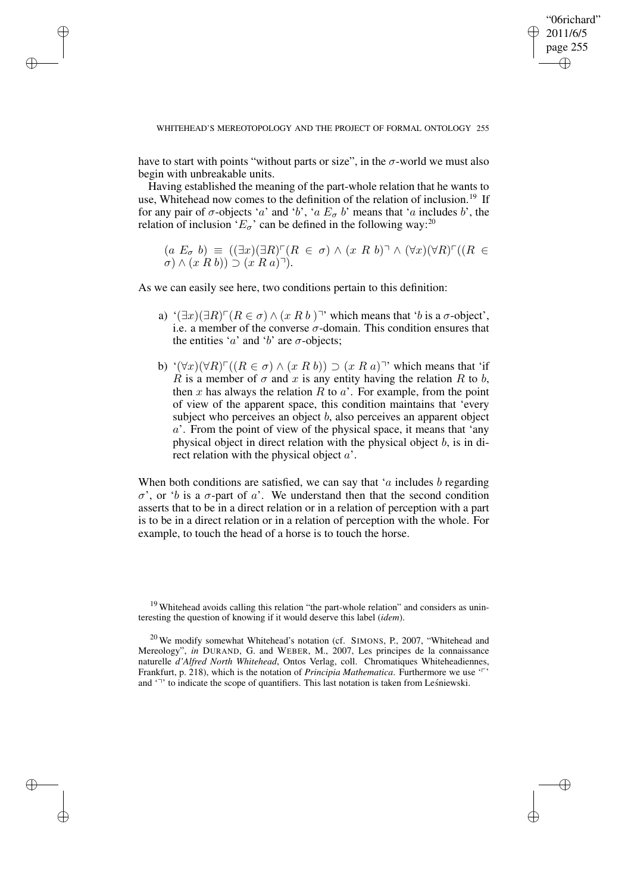✐

have to start with points "without parts or size", in the  $\sigma$ -world we must also begin with unbreakable units.

✐

✐

✐

✐

Having established the meaning of the part-whole relation that he wants to use, Whitehead now comes to the definition of the relation of inclusion.<sup>19</sup> If for any pair of  $\sigma$ -objects 'a' and 'b', 'a  $E_{\sigma}$  b' means that 'a includes b', the relation of inclusion ' $E_{\sigma}$ ' can be defined in the following way:<sup>20</sup>

 $(a E_{\sigma} b) \equiv ((\exists x)(\exists R)^{\frown}(R \in \sigma) \wedge (x R b)^{\frown} \wedge (\forall x)(\forall R)^{\frown}((R \in$  $\sigma$ )  $\wedge$   $(x R b)$ )  $\supset$   $(x R a)$ <sup> $\exists$ </sup>).

As we can easily see here, two conditions pertain to this definition:

- a)  $\exists x)(\exists R)^{\frown}(R \in \sigma) \land (x R b)^{\rrown}$  which means that 'b is a  $\sigma$ -object', i.e. a member of the converse  $\sigma$ -domain. This condition ensures that the entities '*a*' and '*b*' are  $\sigma$ -objects;
- b) ' $(\forall x)(\forall R) \Gamma((R \in \sigma) \land (x R b)) \supset (x R a)$ '' which means that 'if R is a member of  $\sigma$  and x is any entity having the relation R to b, then x has always the relation R to  $a'$ . For example, from the point of view of the apparent space, this condition maintains that 'every subject who perceives an object  $b$ , also perceives an apparent object  $a'$ . From the point of view of the physical space, it means that 'any physical object in direct relation with the physical object b, is in direct relation with the physical object a'.

When both conditions are satisfied, we can say that 'a includes  $b$  regarding  $\sigma'$ , or 'b is a  $\sigma$ -part of a'. We understand then that the second condition asserts that to be in a direct relation or in a relation of perception with a part is to be in a direct relation or in a relation of perception with the whole. For example, to touch the head of a horse is to touch the horse.

<sup>&</sup>lt;sup>19</sup> Whitehead avoids calling this relation "the part-whole relation" and considers as uninteresting the question of knowing if it would deserve this label (*idem*).

 $20$  We modify somewhat Whitehead's notation (cf. SIMONS, P., 2007, "Whitehead and Mereology", *in* DURAND, G. and WEBER, M., 2007, Les principes de la connaissance naturelle *d'Alfred North Whitehead*, Ontos Verlag, coll. Chromatiques Whiteheadiennes, Frankfurt, p. 218), which is the notation of *Principia Mathematica*. Furthermore we use 'p' and  $\lq$ <sup>-7</sup> to indicate the scope of quantifiers. This last notation is taken from Lesnie wski.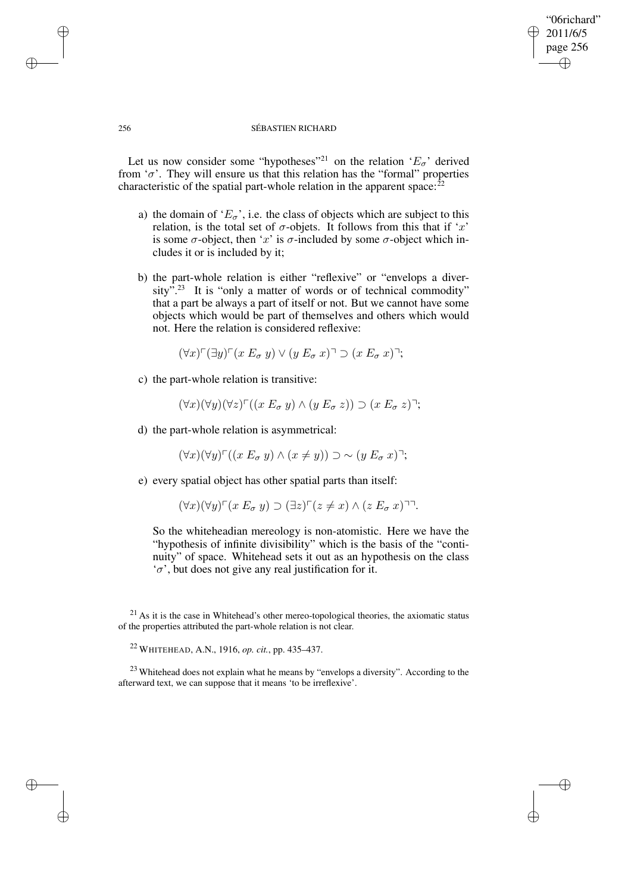## 2011/6/5 page 256 ✐ ✐

✐

✐

"06richard"

### 256 SÉBASTIEN RICHARD

Let us now consider some "hypotheses"<sup>21</sup> on the relation ' $E_{\sigma}$ ' derived from ' $\sigma$ '. They will ensure us that this relation has the "formal" properties characteristic of the spatial part-whole relation in the apparent space: $^{22}$ 

- a) the domain of ' $E_{\sigma}$ ', i.e. the class of objects which are subject to this relation, is the total set of  $\sigma$ -objets. It follows from this that if 'x' is some  $\sigma$ -object, then 'x' is  $\sigma$ -included by some  $\sigma$ -object which includes it or is included by it;
- b) the part-whole relation is either "reflexive" or "envelops a diver $sity<sup>5,23</sup>$  It is "only a matter of words or of technical commodity" that a part be always a part of itself or not. But we cannot have some objects which would be part of themselves and others which would not. Here the relation is considered reflexive:

$$
(\forall x) \ulcorner (\exists y) \ulcorner (x E_{\sigma} y) \lor (y E_{\sigma} x) \urcorner \supset (x E_{\sigma} x) \urcorner;
$$

c) the part-whole relation is transitive:

$$
(\forall x)(\forall y)(\forall z)^{\sqcap}((x E_{\sigma} y) \wedge (y E_{\sigma} z)) \supset (x E_{\sigma} z)^{\sqcap};
$$

d) the part-whole relation is asymmetrical:

$$
(\forall x)(\forall y)^{\sqcap}((x E_{\sigma} y) \land (x \neq y)) \supset \sim (y E_{\sigma} x)^{\sqcap};
$$

e) every spatial object has other spatial parts than itself:

$$
(\forall x)(\forall y)^{\sqcap}(x E_{\sigma} y) \supset (\exists z)^{\sqcap}(z \neq x) \wedge (z E_{\sigma} x)^{\sqcap}.
$$

So the whiteheadian mereology is non-atomistic. Here we have the "hypothesis of infinite divisibility" which is the basis of the "continuity" of space. Whitehead sets it out as an hypothesis on the class  $\sigma'$ , but does not give any real justification for it.

✐

✐

✐

 $21$  As it is the case in Whitehead's other mereo-topological theories, the axiomatic status of the properties attributed the part-whole relation is not clear.

<sup>22</sup> WHITEHEAD, A.N., 1916, *op. cit.*, pp. 435–437.

<sup>&</sup>lt;sup>23</sup> Whitehead does not explain what he means by "envelops a diversity". According to the afterward text, we can suppose that it means 'to be irreflexive'.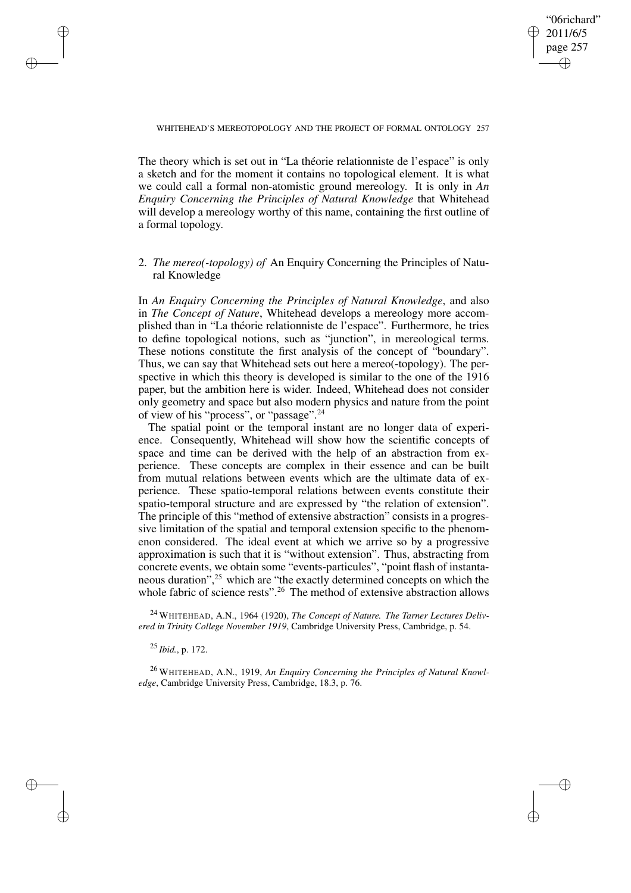✐

### WHITEHEAD'S MEREOTOPOLOGY AND THE PROJECT OF FORMAL ONTOLOGY 257

The theory which is set out in "La théorie relationniste de l'espace" is only a sketch and for the moment it contains no topological element. It is what we could call a formal non-atomistic ground mereology. It is only in *An Enquiry Concerning the Principles of Natural Knowledge* that Whitehead will develop a mereology worthy of this name, containing the first outline of a formal topology.

## 2. *The mereo(-topology) of* An Enquiry Concerning the Principles of Natural Knowledge

In *An Enquiry Concerning the Principles of Natural Knowledge*, and also in *The Concept of Nature*, Whitehead develops a mereology more accomplished than in "La théorie relationniste de l'espace". Furthermore, he tries to define topological notions, such as "junction", in mereological terms. These notions constitute the first analysis of the concept of "boundary". Thus, we can say that Whitehead sets out here a mereo(-topology). The perspective in which this theory is developed is similar to the one of the 1916 paper, but the ambition here is wider. Indeed, Whitehead does not consider only geometry and space but also modern physics and nature from the point of view of his "process", or "passage".<sup>24</sup>

The spatial point or the temporal instant are no longer data of experience. Consequently, Whitehead will show how the scientific concepts of space and time can be derived with the help of an abstraction from experience. These concepts are complex in their essence and can be built from mutual relations between events which are the ultimate data of experience. These spatio-temporal relations between events constitute their spatio-temporal structure and are expressed by "the relation of extension". The principle of this "method of extensive abstraction" consists in a progressive limitation of the spatial and temporal extension specific to the phenomenon considered. The ideal event at which we arrive so by a progressive approximation is such that it is "without extension". Thus, abstracting from concrete events, we obtain some "events-particules", "point flash of instantaneous duration",<sup>25</sup> which are "the exactly determined concepts on which the whole fabric of science rests".<sup>26</sup> The method of extensive abstraction allows

<sup>24</sup> WHITEHEAD, A.N., 1964 (1920), *The Concept of Nature. The Tarner Lectures Delivered in Trinity College November 1919*, Cambridge University Press, Cambridge, p. 54.

<sup>25</sup> *Ibid.*, p. 172.

✐

✐

✐

✐

<sup>26</sup> WHITEHEAD, A.N., 1919, *An Enquiry Concerning the Principles of Natural Knowledge*, Cambridge University Press, Cambridge, 18.3, p. 76.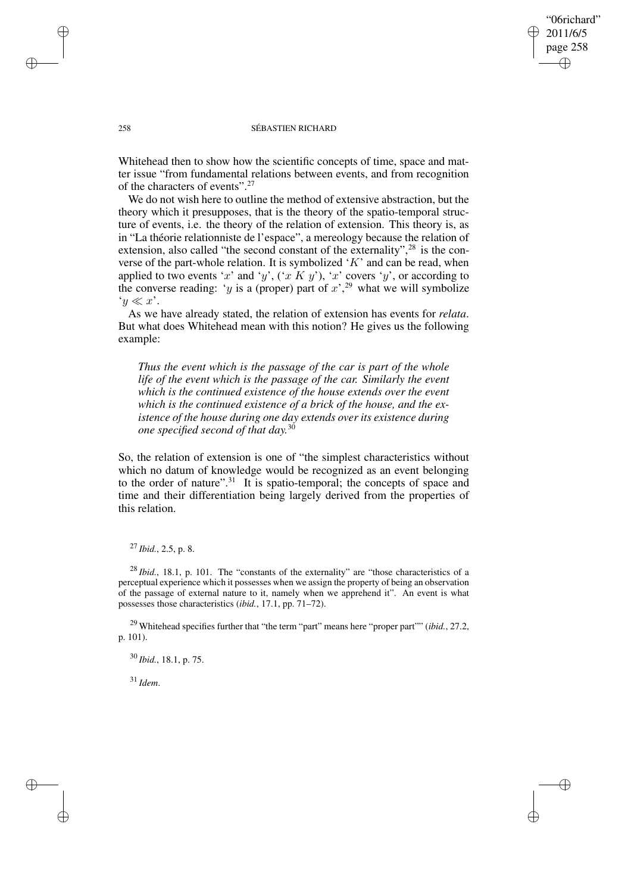"06richard" 2011/6/5 page 258 ✐ ✐

✐

✐

### 258 SÉBASTIEN RICHARD

Whitehead then to show how the scientific concepts of time, space and matter issue "from fundamental relations between events, and from recognition of the characters of events".<sup>27</sup>

We do not wish here to outline the method of extensive abstraction, but the theory which it presupposes, that is the theory of the spatio-temporal structure of events, i.e. the theory of the relation of extension. This theory is, as in "La théorie relationniste de l'espace", a mereology because the relation of extension, also called "the second constant of the externality",  $28$  is the converse of the part-whole relation. It is symbolized 'K' and can be read, when applied to two events 'x' and 'y',  $(x K y')$ , 'x' covers 'y', or according to the converse reading: 'y is a (proper) part of  $x^2$ ,  $y^2$  what we will symbolize  $y \ll x$ '.

As we have already stated, the relation of extension has events for *relata*. But what does Whitehead mean with this notion? He gives us the following example:

*Thus the event which is the passage of the car is part of the whole life of the event which is the passage of the car. Similarly the event which is the continued existence of the house extends over the event which is the continued existence of a brick of the house, and the existence of the house during one day extends over its existence during one specified second of that day.* 30

So, the relation of extension is one of "the simplest characteristics without which no datum of knowledge would be recognized as an event belonging to the order of nature".<sup>31</sup> It is spatio-temporal; the concepts of space and time and their differentiation being largely derived from the properties of this relation.

## <sup>27</sup> *Ibid.*, 2.5, p. 8.

<sup>28</sup> *Ibid.*, 18.1, p. 101. The "constants of the externality" are "those characteristics of a perceptual experience which it possesses when we assign the property of being an observation of the passage of external nature to it, namely when we apprehend it". An event is what possesses those characteristics (*ibid.*, 17.1, pp. 71–72).

<sup>29</sup> Whitehead specifies further that "the term "part" means here "proper part"" (*ibid.*, 27.2, p. 101).

<sup>30</sup> *Ibid.*, 18.1, p. 75.

<sup>31</sup> *Idem*.

✐

✐

✐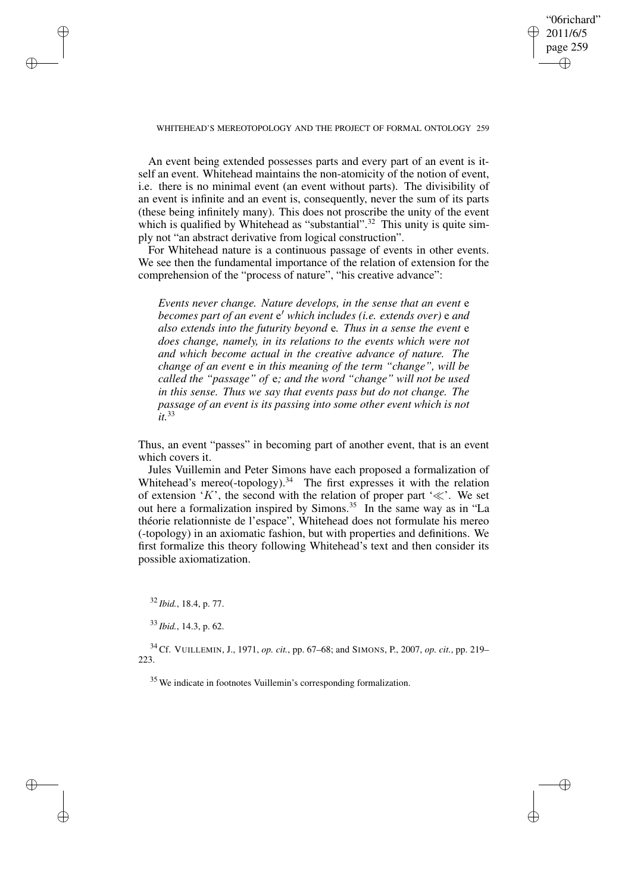## "06richard" 2011/6/5 page 259 ✐ ✐

✐

✐

### WHITEHEAD'S MEREOTOPOLOGY AND THE PROJECT OF FORMAL ONTOLOGY 259

An event being extended possesses parts and every part of an event is itself an event. Whitehead maintains the non-atomicity of the notion of event, i.e. there is no minimal event (an event without parts). The divisibility of an event is infinite and an event is, consequently, never the sum of its parts (these being infinitely many). This does not proscribe the unity of the event which is qualified by Whitehead as "substantial".<sup>32</sup> This unity is quite simply not "an abstract derivative from logical construction".

For Whitehead nature is a continuous passage of events in other events. We see then the fundamental importance of the relation of extension for the comprehension of the "process of nature", "his creative advance":

*Events never change. Nature develops, in the sense that an event* e *becomes part of an event* e <sup>0</sup> *which includes (i.e. extends over)* e *and also extends into the futurity beyond* e*. Thus in a sense the event* e *does change, namely, in its relations to the events which were not and which become actual in the creative advance of nature. The change of an event* e *in this meaning of the term "change", will be called the "passage" of* e*; and the word "change" will not be used in this sense. Thus we say that events pass but do not change. The passage of an event is its passing into some other event which is not it.*<sup>33</sup>

Thus, an event "passes" in becoming part of another event, that is an event which covers it.

Jules Vuillemin and Peter Simons have each proposed a formalization of Whitehead's mereo(-topology).<sup>34</sup> The first expresses it with the relation of extension 'K', the second with the relation of proper part ' $\ll$ '. We set out here a formalization inspired by Simons.<sup>35</sup> In the same way as in "La théorie relationniste de l'espace", Whitehead does not formulate his mereo (-topology) in an axiomatic fashion, but with properties and definitions. We first formalize this theory following Whitehead's text and then consider its possible axiomatization.

<sup>32</sup> *Ibid.*, 18.4, p. 77.

✐

✐

✐

✐

<sup>34</sup> Cf. VUILLEMIN, J., 1971, *op. cit.*, pp. 67–68; and SIMONS, P., 2007, *op. cit.*, pp. 219– 223.

<sup>35</sup> We indicate in footnotes Vuillemin's corresponding formalization.

<sup>33</sup> *Ibid.*, 14.3, p. 62.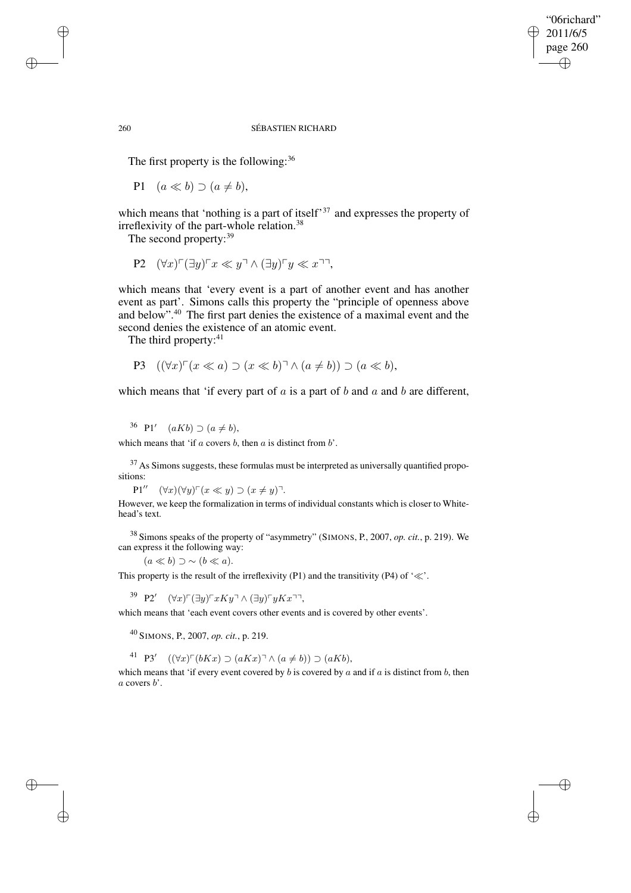## "06richard" 2011/6/5 page 260 ✐ ✐

✐

✐

### 260 SÉBASTIEN RICHARD

The first property is the following:  $36$ 

P1  $(a \ll b) \supset (a \neq b)$ ,

which means that 'nothing is a part of itself<sup>37</sup> and expresses the property of irreflexivity of the part-whole relation.<sup>38</sup>

The second property:<sup>39</sup>

$$
\mathbf{P2} \quad (\forall x)^{\sqcap} (\exists y)^{\sqcap} x \ll y^{\sqcap} \land (\exists y)^{\sqcap} y \ll x^{\sqcap} \neg
$$

which means that 'every event is a part of another event and has another event as part'. Simons calls this property the "principle of openness above and below".<sup>40</sup> The first part denies the existence of a maximal event and the second denies the existence of an atomic event.

The third property:<sup>41</sup>

$$
P3 \quad ((\forall x)^{\sqcap}(x \ll a) \supset (x \ll b)^{\sqcap} \land (a \neq b)) \supset (a \ll b),
$$

which means that 'if every part of  $a$  is a part of  $b$  and  $a$  and  $b$  are different,

<sup>36</sup> P1'  $(aKb) \supset (a \neq b),$ 

which means that 'if  $a$  covers  $b$ , then  $a$  is distinct from  $b'$ .

 $37$  As Simons suggests, these formulas must be interpreted as universally quantified propositions:

 $P1'' \quad (\forall x)(\forall y) \ulcorner (x \ll y) \supset (x \neq y)\urcorner.$ 

However, we keep the formalization in terms of individual constants which is closer to Whitehead's text.

<sup>38</sup> Simons speaks of the property of "asymmetry" (SIMONS, P., 2007, *op. cit.*, p. 219). We can express it the following way:

 $(a \ll b) \supset \sim (b \ll a).$ 

This property is the result of the irreflexivity (P1) and the transitivity (P4) of ' $\ll$ '.

39 P2'  $(\forall x) \ulcorner (\exists y) \ulcorner xKy \urcorner \wedge (\exists y) \ulcorner yKx \urcorner \urcorner,$ 

which means that 'each event covers other events and is covered by other events'.

<sup>40</sup> SIMONS, P., 2007, *op. cit.*, p. 219.

41 **P3'**  $((\forall x) \ulcorner (bKx) \supset (aKx) \urcorner \wedge (a \neq b)) \supset (aKb),$ 

which means that 'if every event covered by  $b$  is covered by  $a$  and if  $a$  is distinct from  $b$ , then  $a$  covers  $b'$ .

✐

✐

✐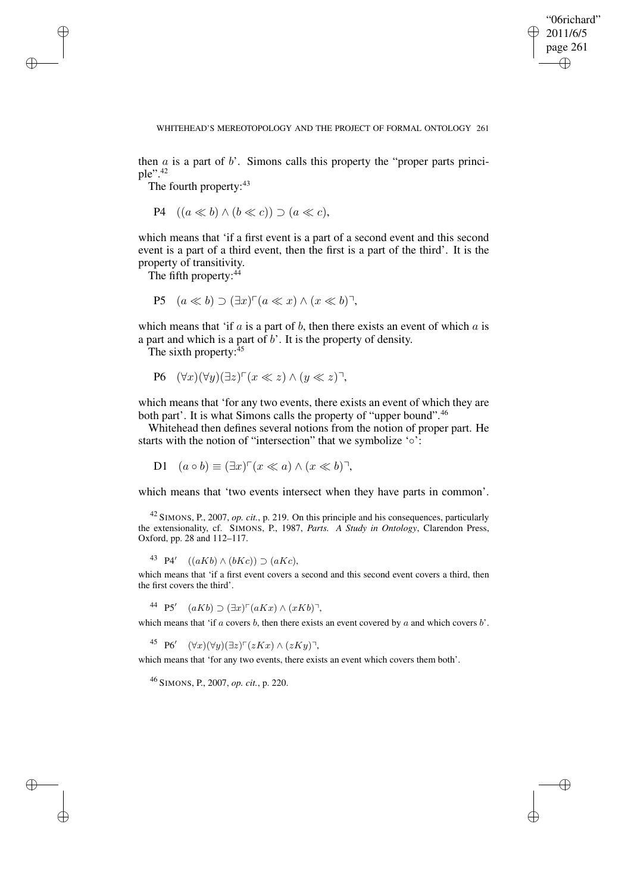✐

### WHITEHEAD'S MEREOTOPOLOGY AND THE PROJECT OF FORMAL ONTOLOGY 261

then  $\alpha$  is a part of  $\beta'$ . Simons calls this property the "proper parts principle".<sup>42</sup>

The fourth property: 43

✐

✐

✐

✐

$$
P4 \quad ((a \ll b) \land (b \ll c)) \supset (a \ll c),
$$

which means that 'if a first event is a part of a second event and this second event is a part of a third event, then the first is a part of the third'. It is the property of transitivity.

The fifth property: $44$ 

$$
P5 \quad (a \ll b) \supset (\exists x)^{\sqcap}(a \ll x) \land (x \ll b)^{\sqcap},
$$

which means that 'if  $a$  is a part of  $b$ , then there exists an event of which  $a$  is a part and which is a part of  $b'$ . It is the property of density.

The sixth property: $45$ 

$$
\text{P6} \quad (\forall x)(\forall y)(\exists z)^\top (x \ll z) \land (y \ll z)^\top,
$$

which means that 'for any two events, there exists an event of which they are both part'. It is what Simons calls the property of "upper bound".<sup>46</sup>

Whitehead then defines several notions from the notion of proper part. He starts with the notion of "intersection" that we symbolize '∘':

D1  $(a \circ b) \equiv (\exists x)^{\sqcap}(x \ll a) \land (x \ll b)^{\sqcap},$ 

which means that 'two events intersect when they have parts in common'.

<sup>42</sup> SIMONS, P., 2007, *op. cit.*, p. 219. On this principle and his consequences, particularly the extensionality, cf. SIMONS, P., 1987, *Parts. A Study in Ontology*, Clarendon Press, Oxford, pp. 28 and 112–117.

<sup>43</sup> P4'  $((aKb) \wedge (bKc)) \supset (aKc),$ 

which means that 'if a first event covers a second and this second event covers a third, then the first covers the third'.

44 P5'  $(aKb) \supset (\exists x)^{\sqcap}(aKx) \wedge (xKb)^{\sqcap}$ ,

which means that 'if  $a$  covers  $b$ , then there exists an event covered by  $a$  and which covers  $b'$ .

45 P6'  $(\forall x)(\forall y)(\exists z) \ulcorner (zKx) \wedge (zKy)\urcorner,$ 

which means that 'for any two events, there exists an event which covers them both'.

<sup>46</sup> SIMONS, P., 2007, *op. cit.*, p. 220.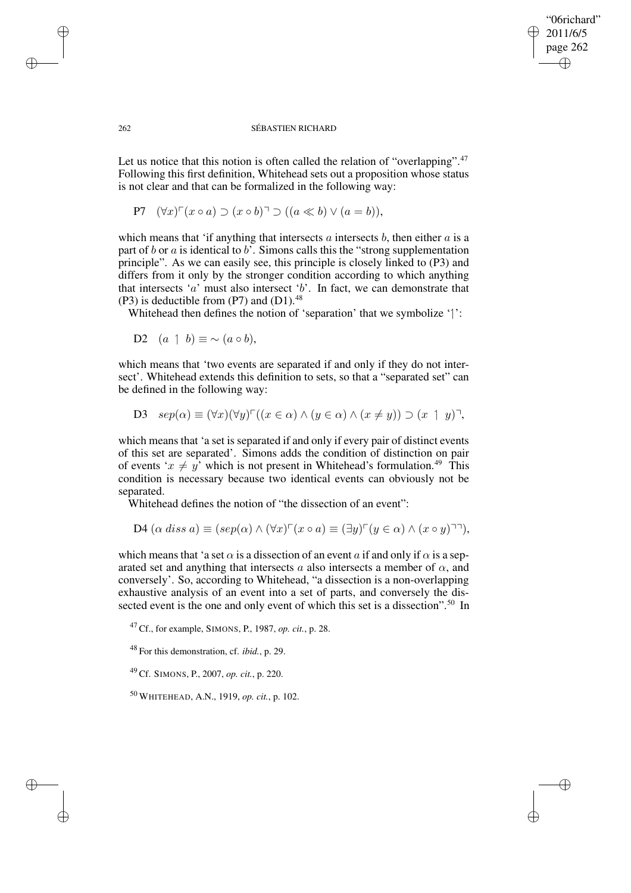## "06richard" 2011/6/5 page 262 ✐ ✐

✐

✐

#### 262 SÉBASTIEN RICHARD

Let us notice that this notion is often called the relation of "overlapping".<sup>47</sup> Following this first definition, Whitehead sets out a proposition whose status is not clear and that can be formalized in the following way:

P7 
$$
(\forall x)^{\top}(x \circ a) \supset (x \circ b)^{\top} \supset ((a \ll b) \lor (a = b)),
$$

which means that 'if anything that intersects  $a$  intersects  $b$ , then either  $a$  is a part of b or a is identical to b'. Simons calls this the "strong supplementation" principle". As we can easily see, this principle is closely linked to (P3) and differs from it only by the stronger condition according to which anything that intersects 'a' must also intersect 'b'. In fact, we can demonstrate that  $(P3)$  is deductible from  $(P7)$  and  $(D1)$ .<sup>48</sup>

Whitehead then defines the notion of 'separation' that we symbolize '':

D2  $(a \; 1 \; b) \equiv \sim (a \circ b)$ .

which means that 'two events are separated if and only if they do not intersect'. Whitehead extends this definition to sets, so that a "separated set" can be defined in the following way:

D3 
$$
sep(\alpha) \equiv (\forall x)(\forall y)^{\top}((x \in \alpha) \land (y \in \alpha) \land (x \neq y)) \supset (x \uparrow y)^{\top},
$$

which means that 'a set is separated if and only if every pair of distinct events of this set are separated'. Simons adds the condition of distinction on pair of events ' $x \neq y'$  which is not present in Whitehead's formulation.<sup>49</sup> This condition is necessary because two identical events can obviously not be separated.

Whitehead defines the notion of "the dissection of an event":

$$
D4\ (\alpha\ diss a) \equiv (sep(\alpha) \land (\forall x)^{\sqcap}(x \circ a) \equiv (\exists y)^{\sqcap}(y \in \alpha) \land (x \circ y)^{\sqcap\sqcap}),
$$

which means that 'a set  $\alpha$  is a dissection of an event a if and only if  $\alpha$  is a separated set and anything that intersects a also intersects a member of  $\alpha$ , and conversely'. So, according to Whitehead, "a dissection is a non-overlapping exhaustive analysis of an event into a set of parts, and conversely the dissected event is the one and only event of which this set is a dissection".<sup>50</sup> In

<sup>47</sup> Cf., for example, SIMONS, P., 1987, *op. cit.*, p. 28.

<sup>48</sup> For this demonstration, cf. *ibid.*, p. 29.

<sup>49</sup> Cf. SIMONS, P., 2007, *op. cit.*, p. 220.

<sup>50</sup> WHITEHEAD, A.N., 1919, *op. cit.*, p. 102.

✐

✐

✐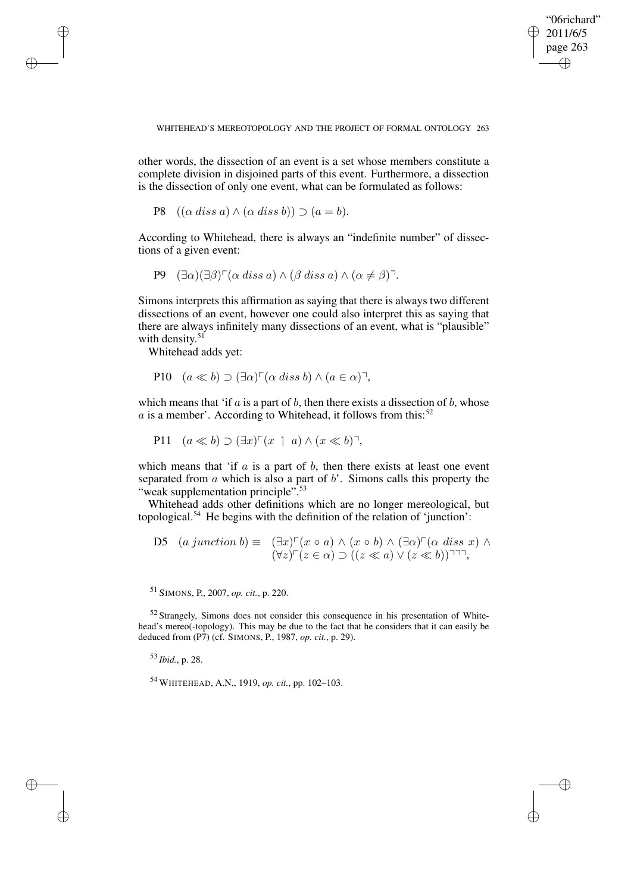"06richard" 2011/6/5 page 263 ✐ ✐

✐

✐

WHITEHEAD'S MEREOTOPOLOGY AND THE PROJECT OF FORMAL ONTOLOGY 263

other words, the dissection of an event is a set whose members constitute a complete division in disjoined parts of this event. Furthermore, a dissection is the dissection of only one event, what can be formulated as follows:

P8  $((\alpha \text{ diss } a) \wedge (\alpha \text{ diss } b)) \supset (a = b).$ 

According to Whitehead, there is always an "indefinite number" of dissections of a given event:

P9  $(∃α)(∃β) [α diss a) ∧ (β diss a) ∧ (α ≠ β)].$ 

Simons interprets this affirmation as saying that there is always two different dissections of an event, however one could also interpret this as saying that there are always infinitely many dissections of an event, what is "plausible" with density.<sup>51</sup>

Whitehead adds yet:

✐

✐

✐

✐

P10 
$$
(a \ll b) \supset (\exists \alpha)^{\sqcap} (\alpha \text{ diss } b) \land (a \in \alpha)^{\sqcap}
$$
,

which means that 'if  $a$  is a part of  $b$ , then there exists a dissection of  $b$ , whose a is a member'. According to Whitehead, it follows from this:<sup>52</sup>

P11  $(a \ll b) \supset (\exists x)^{\sqcap}(x \uparrow a) \wedge (x \ll b)^{\sqcap},$ 

which means that 'if  $a$  is a part of  $b$ , then there exists at least one event separated from  $\alpha$  which is also a part of  $\delta'$ . Simons calls this property the "weak supplementation principle".<sup>53</sup>

Whitehead adds other definitions which are no longer mereological, but topological.<sup>54</sup> He begins with the definition of the relation of 'junction':

D5 
$$
(a \text{ junction } b) \equiv (\exists x)^{\sqcap}(x \circ a) \land (x \circ b) \land (\exists \alpha)^{\sqcap}(\alpha \text{ diss } x) \land (\forall z)^{\sqcap}(z \in \alpha) \supset ((z \ll a) \lor (z \ll b))^{\sqcap \sqcap},
$$

<sup>51</sup> SIMONS, P., 2007, *op. cit.*, p. 220.

<sup>52</sup> Strangely, Simons does not consider this consequence in his presentation of Whitehead's mereo(-topology). This may be due to the fact that he considers that it can easily be deduced from (P7) (cf. SIMONS, P., 1987, *op. cit.*, p. 29).

<sup>53</sup> *Ibid.*, p. 28.

<sup>54</sup> WHITEHEAD, A.N., 1919, *op. cit.*, pp. 102–103.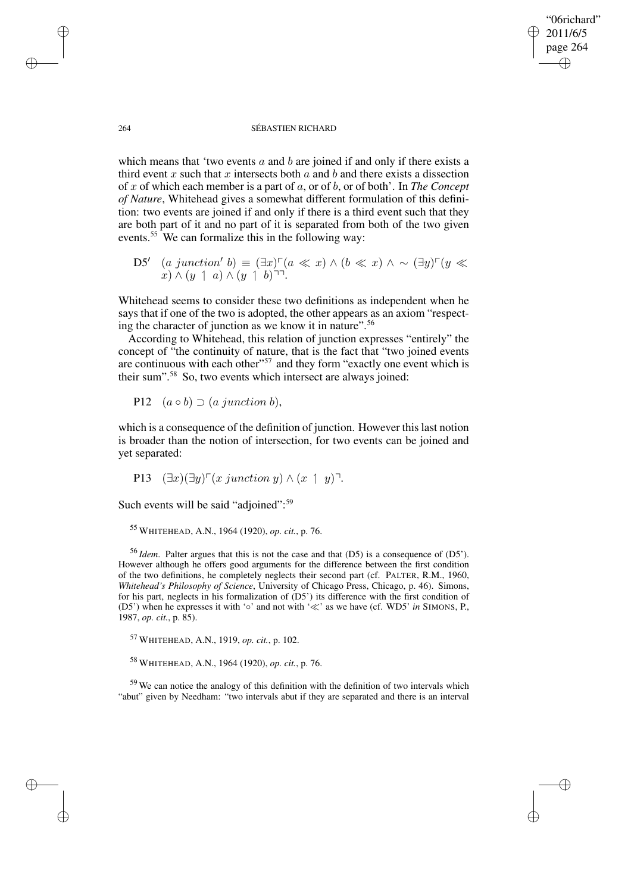## "06richard" 2011/6/5 page 264 ✐ ✐

✐

✐

#### 264 SÉBASTIEN RICHARD

which means that 'two events  $a$  and  $b$  are joined if and only if there exists a third event x such that x intersects both  $\alpha$  and  $\beta$  and there exists a dissection of x of which each member is a part of a, or of b, or of both'. In *The Concept of Nature*, Whitehead gives a somewhat different formulation of this definition: two events are joined if and only if there is a third event such that they are both part of it and no part of it is separated from both of the two given events.<sup>55</sup> We can formalize this in the following way:

D5'  $(a \text{ junction}' b) \equiv (\exists x) \ulcorner (a \ll x) \land (b \ll x) \land \sim (\exists y) \ulcorner (y \ll x)$  $x) \wedge (y \mid a) \wedge (y \mid b)$ <sup> $\sqsupset$ </sup>.

Whitehead seems to consider these two definitions as independent when he says that if one of the two is adopted, the other appears as an axiom "respecting the character of junction as we know it in nature".<sup>56</sup>

According to Whitehead, this relation of junction expresses "entirely" the concept of "the continuity of nature, that is the fact that "two joined events are continuous with each other"<sup>57</sup> and they form "exactly one event which is their sum".<sup>58</sup> So, two events which intersect are always joined:

P12  $(a \circ b) \supset (a \text{ junction } b),$ 

which is a consequence of the definition of junction. However this last notion is broader than the notion of intersection, for two events can be joined and yet separated:

P13 
$$
(\exists x)(\exists y)^{\sqcap}(x \text{ junction } y) \wedge (x \uparrow y)^{\sqcap}
$$
.

Such events will be said "adjoined":<sup>59</sup>

<sup>55</sup> WHITEHEAD, A.N., 1964 (1920), *op. cit.*, p. 76.

<sup>56</sup> *Idem*. Palter argues that this is not the case and that (D5) is a consequence of (D5'). However although he offers good arguments for the difference between the first condition of the two definitions, he completely neglects their second part (cf. PALTER, R.M., 1960, *Whitehead's Philosophy of Science*, University of Chicago Press, Chicago, p. 46). Simons, for his part, neglects in his formalization of (D5') its difference with the first condition of (D5<sup>'</sup>) when he expresses it with '∘' and not with '≪' as we have (cf. WD5' *in* SIMONS, P., 1987, *op. cit.*, p. 85).

<sup>57</sup> WHITEHEAD, A.N., 1919, *op. cit.*, p. 102.

<sup>58</sup> WHITEHEAD, A.N., 1964 (1920), *op. cit.*, p. 76.

<sup>59</sup> We can notice the analogy of this definition with the definition of two intervals which "abut" given by Needham: "two intervals abut if they are separated and there is an interval

✐

✐

✐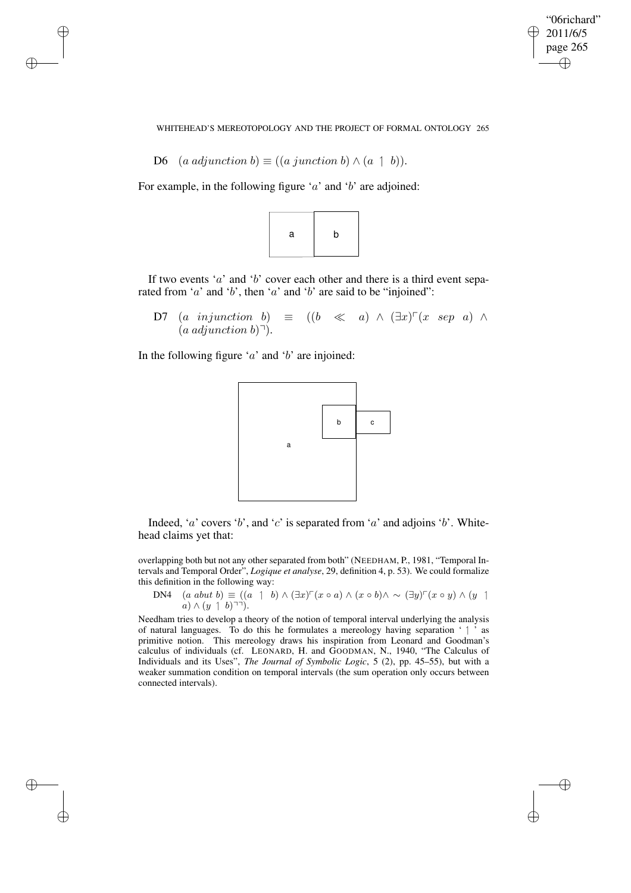✐

WHITEHEAD'S MEREOTOPOLOGY AND THE PROJECT OF FORMAL ONTOLOGY 265

D6 (a adjunction b)  $\equiv$  ((a junction b)  $\wedge$  (a 1 b)).

✐

✐

✐

✐

For example, in the following figure ' $a$ ' and ' $b$ ' are adjoined:



If two events ' $a$ ' and ' $b$ ' cover each other and there is a third event separated from 'a' and 'b', then 'a' and 'b' are said to be "injoined":

D7 (a injunction b)  $\equiv$  ((b  $\ll$  a)  $\wedge$  ( $\exists x$ )<sup> $\sqcap$ </sup>(x sep a)  $\wedge$  $(a \text{ adjunction } b)$ <sup> $\gamma$ </sup>.

In the following figure ' $a$ ' and ' $b$ ' are injoined:



Indeed, '*a*' covers '*b*', and '*c*' is separated from '*a*' and adjoins '*b*'. Whitehead claims yet that:

overlapping both but not any other separated from both" (NEEDHAM, P., 1981, "Temporal Intervals and Temporal Order", *Logique et analyse*, 29, definition 4, p. 53). We could formalize this definition in the following way:

DN4 
$$
(a \text{ abut } b) \equiv ((a \quad 1 \quad b) \land (\exists x)^{\sqcap}(x \circ a) \land (x \circ b) \land \sim (\exists y)^{\sqcap}(x \circ y) \land (y \quad 1 \quad a) \land (y \quad 1 \quad b)^{\sqcap \sqcap}).
$$

Needham tries to develop a theory of the notion of temporal interval underlying the analysis of natural languages. To do this he formulates a mereology having separation ' ' as primitive notion. This mereology draws his inspiration from Leonard and Goodman's calculus of individuals (cf. LEONARD, H. and GOODMAN, N., 1940, "The Calculus of Individuals and its Uses", *The Journal of Symbolic Logic*, 5 (2), pp. 45–55), but with a weaker summation condition on temporal intervals (the sum operation only occurs between connected intervals).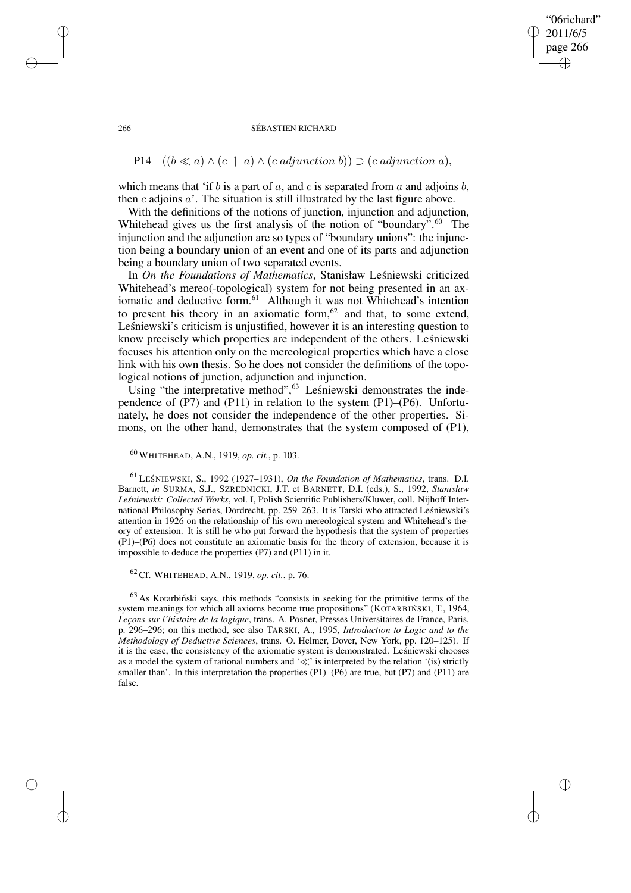## "06richard" 2011/6/5 page 266 ✐ ✐

✐

✐

#### 266 SÉBASTIEN RICHARD

# P14  $((b \ll a) \land (c \land a) \land (c \text{ adjunction } b)) \supset (c \text{ adjunction } a),$

which means that 'if b is a part of a, and c is separated from a and adjoins b, then c adjoins  $a'$ . The situation is still illustrated by the last figure above.

With the definitions of the notions of junction, injunction and adjunction, Whitehead gives us the first analysis of the notion of "boundary".<sup>60</sup> The injunction and the adjunction are so types of "boundary unions": the injunction being a boundary union of an event and one of its parts and adjunction being a boundary union of two separated events.

In *On the Foundations of Mathematics*, Stanisław Leśniewski criticized Whitehead's mereo(-topological) system for not being presented in an axiomatic and deductive form.<sup>61</sup> Although it was not Whitehead's intention to present his theory in an axiomatic form, $62$  and that, to some extend, Leśniewski's criticism is unjustified, however it is an interesting question to know precisely which properties are independent of the others. Lesnie wski focuses his attention only on the mereological properties which have a close link with his own thesis. So he does not consider the definitions of the topological notions of junction, adjunction and injunction.

Using "the interpretative method", $63$  Lesniewski demonstrates the independence of (P7) and (P11) in relation to the system (P1)–(P6). Unfortunately, he does not consider the independence of the other properties. Simons, on the other hand, demonstrates that the system composed of (P1),

<sup>60</sup> WHITEHEAD, A.N., 1919, *op. cit.*, p. 103.

<sup>61</sup> LES´ NIEWSKI, S., 1992 (1927–1931), *On the Foundation of Mathematics*, trans. D.I. Barnett, *in* SURMA, S.J., SZREDNICKI, J.T. et BARNETT, D.I. (eds.), S., 1992, *Stanisław Lesnie ´ wski: Collected Works*, vol. I, Polish Scientific Publishers/Kluwer, coll. Nijhoff International Philosophy Series, Dordrecht, pp. 259–263. It is Tarski who attracted Leśniewski's attention in 1926 on the relationship of his own mereological system and Whitehead's theory of extension. It is still he who put forward the hypothesis that the system of properties (P1)–(P6) does not constitute an axiomatic basis for the theory of extension, because it is impossible to deduce the properties (P7) and (P11) in it.

<sup>62</sup> Cf. WHITEHEAD, A.N., 1919, *op. cit.*, p. 76.

 $63$  As Kotarbiński says, this methods "consists in seeking for the primitive terms of the system meanings for which all axioms become true propositions" (KOTARBIŃ SKI, T., 1964, *Leçons sur l'histoire de la logique*, trans. A. Posner, Presses Universitaires de France, Paris, p. 296–296; on this method, see also TARSKI, A., 1995, *Introduction to Logic and to the Methodology of Deductive Sciences*, trans. O. Helmer, Dover, New York, pp. 120–125). If it is the case, the consistency of the axiomatic system is demonstrated. Lesniewski chooses as a model the system of rational numbers and ' $\ll$ ' is interpreted by the relation '(is) strictly smaller than'. In this interpretation the properties  $(P1)$ – $(P6)$  are true, but  $(P7)$  and  $(P11)$  are false.

✐

✐

✐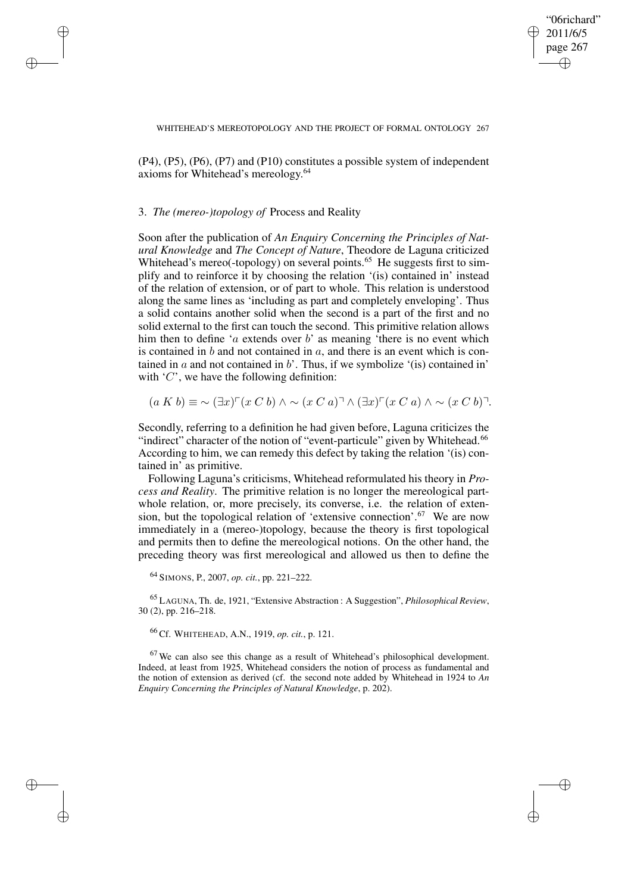"06richard" 2011/6/5 page 267 ✐ ✐

✐

✐

(P4), (P5), (P6), (P7) and (P10) constitutes a possible system of independent axioms for Whitehead's mereology. 64

### 3. *The (mereo-)topology of* Process and Reality

✐

✐

✐

✐

Soon after the publication of *An Enquiry Concerning the Principles of Natural Knowledge* and *The Concept of Nature*, Theodore de Laguna criticized Whitehead's mereo(-topology) on several points.<sup>65</sup> He suggests first to simplify and to reinforce it by choosing the relation '(is) contained in' instead of the relation of extension, or of part to whole. This relation is understood along the same lines as 'including as part and completely enveloping'. Thus a solid contains another solid when the second is a part of the first and no solid external to the first can touch the second. This primitive relation allows him then to define '*a* extends over *b*' as meaning 'there is no event which is contained in  $b$  and not contained in  $a$ , and there is an event which is contained in  $a$  and not contained in  $b'$ . Thus, if we symbolize '(is) contained in' with  $'C'$ , we have the following definition:

 $(a K b) \equiv \sim (\exists x)^{\sqcap}(x C b) \wedge \sim (x C a)^{\sqcap} \wedge (\exists x)^{\sqcap}(x C a) \wedge \sim (x C b)^{\sqcap}$ .

Secondly, referring to a definition he had given before, Laguna criticizes the "indirect" character of the notion of "event-particule" given by Whitehead.<sup>66</sup> According to him, we can remedy this defect by taking the relation '(is) contained in' as primitive.

Following Laguna's criticisms, Whitehead reformulated his theory in *Process and Reality*. The primitive relation is no longer the mereological partwhole relation, or, more precisely, its converse, i.e. the relation of extension, but the topological relation of 'extensive connection'.<sup>67</sup> We are now immediately in a (mereo-)topology, because the theory is first topological and permits then to define the mereological notions. On the other hand, the preceding theory was first mereological and allowed us then to define the

<sup>64</sup> SIMONS, P., 2007, *op. cit.*, pp. 221–222.

<sup>65</sup> LAGUNA, Th. de, 1921, "Extensive Abstraction : A Suggestion", *Philosophical Review*, 30 (2), pp. 216–218.

<sup>66</sup> Cf. WHITEHEAD, A.N., 1919, *op. cit.*, p. 121.

 $67$  We can also see this change as a result of Whitehead's philosophical development. Indeed, at least from 1925, Whitehead considers the notion of process as fundamental and the notion of extension as derived (cf. the second note added by Whitehead in 1924 to *An Enquiry Concerning the Principles of Natural Knowledge*, p. 202).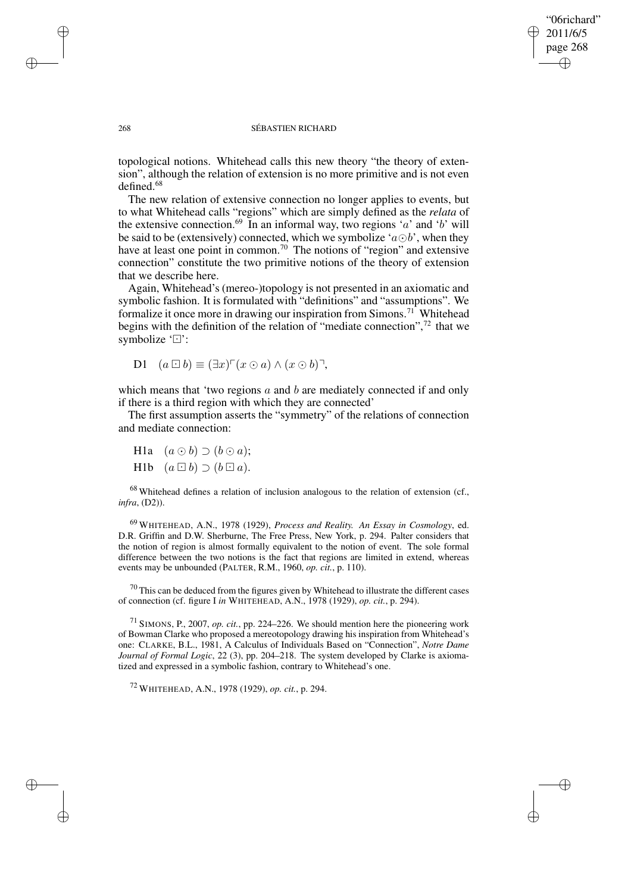## "06richard" 2011/6/5 page 268 ✐ ✐

✐

✐

### 268 SÉBASTIEN RICHARD

topological notions. Whitehead calls this new theory "the theory of extension", although the relation of extension is no more primitive and is not even defined.<sup>68</sup>

The new relation of extensive connection no longer applies to events, but to what Whitehead calls "regions" which are simply defined as the *relata* of the extensive connection.<sup>69</sup> In an informal way, two regions 'a' and 'b' will be said to be (extensively) connected, which we symbolize ' $a \odot b$ ', when they have at least one point in common.<sup>70</sup> The notions of "region" and extensive connection" constitute the two primitive notions of the theory of extension that we describe here.

Again, Whitehead's (mereo-)topology is not presented in an axiomatic and symbolic fashion. It is formulated with "definitions" and "assumptions". We formalize it once more in drawing our inspiration from Simons.<sup>71</sup> Whitehead begins with the definition of the relation of "mediate connection", $72$  that we symbolize ' $\Box$ ':

D1 
$$
(a \boxdot b) \equiv (\exists x)^{\sqcap}(x \odot a) \wedge (x \odot b)^{\sqcap}
$$
,

which means that 'two regions  $a$  and  $b$  are mediately connected if and only if there is a third region with which they are connected'

The first assumption asserts the "symmetry" of the relations of connection and mediate connection:

H1a  $(a \odot b) \supset (b \odot a);$ H1b  $(a \boxdot b) \supset (b \boxdot a).$ 

<sup>68</sup> Whitehead defines a relation of inclusion analogous to the relation of extension (cf., *infra*, (D2)).

<sup>69</sup> WHITEHEAD, A.N., 1978 (1929), *Process and Reality. An Essay in Cosmology*, ed. D.R. Griffin and D.W. Sherburne, The Free Press, New York, p. 294. Palter considers that the notion of region is almost formally equivalent to the notion of event. The sole formal difference between the two notions is the fact that regions are limited in extend, whereas events may be unbounded (PALTER, R.M., 1960, *op. cit.*, p. 110).

 $70$  This can be deduced from the figures given by Whitehead to illustrate the different cases of connection (cf. figure I *in* WHITEHEAD, A.N., 1978 (1929), *op. cit.*, p. 294).

<sup>71</sup> SIMONS, P., 2007, *op. cit.*, pp. 224–226. We should mention here the pioneering work of Bowman Clarke who proposed a mereotopology drawing his inspiration from Whitehead's one: CLARKE, B.L., 1981, A Calculus of Individuals Based on "Connection", *Notre Dame Journal of Formal Logic*, 22 (3), pp. 204–218. The system developed by Clarke is axiomatized and expressed in a symbolic fashion, contrary to Whitehead's one.

<sup>72</sup> WHITEHEAD, A.N., 1978 (1929), *op. cit.*, p. 294.

✐

✐

✐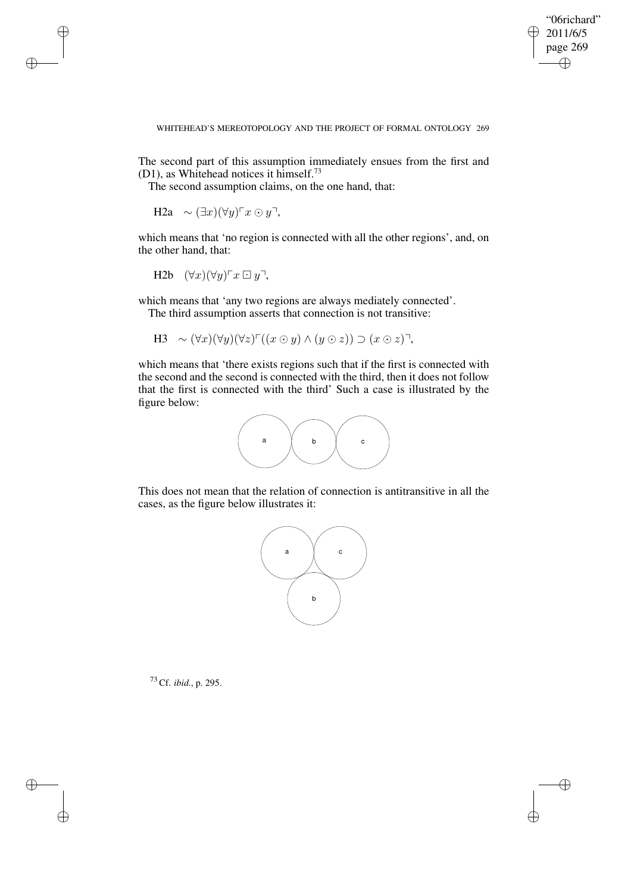✐

### WHITEHEAD'S MEREOTOPOLOGY AND THE PROJECT OF FORMAL ONTOLOGY 269

The second part of this assumption immediately ensues from the first and (D1), as Whitehead notices it himself.<sup>73</sup>

The second assumption claims, on the one hand, that:

H2a  $\sim (\exists x)(\forall y)^\top x \odot y^\top$ ,

✐

✐

✐

✐

which means that 'no region is connected with all the other regions', and, on the other hand, that:

H2b 
$$
(\forall x)(\forall y)\ulcorner x \boxdot y\urcorner
$$
,

which means that 'any two regions are always mediately connected'. The third assumption asserts that connection is not transitive:

H3  $\sim (\forall x)(\forall y)(\forall z)^{\top}((x \odot y) \wedge (y \odot z)) \supset (x \odot z)^{\top},$ 

which means that 'there exists regions such that if the first is connected with the second and the second is connected with the third, then it does not follow that the first is connected with the third' Such a case is illustrated by the figure below:



This does not mean that the relation of connection is antitransitive in all the cases, as the figure below illustrates it:



<sup>73</sup> Cf. *ibid.*, p. 295.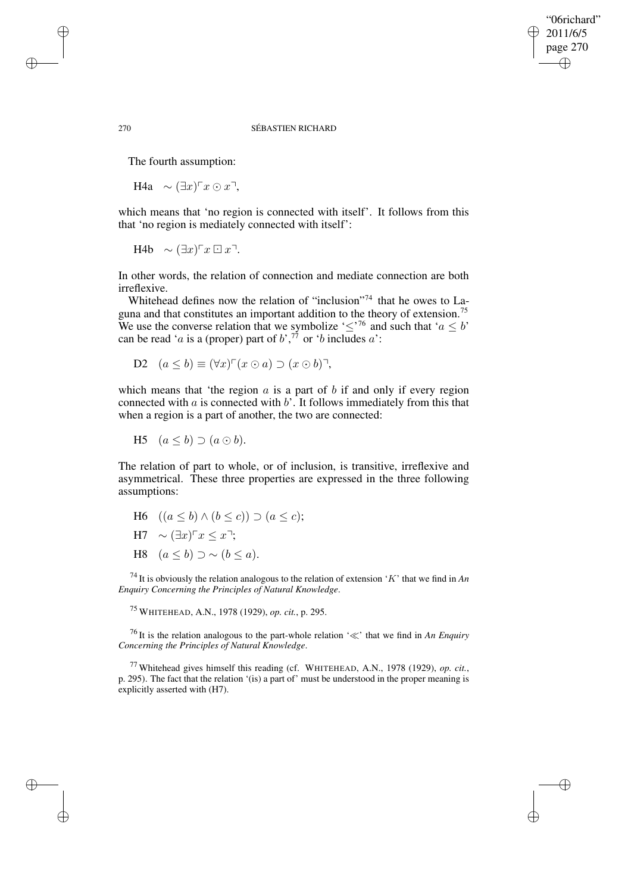## "06richard" 2011/6/5 page 270 ✐ ✐

✐

✐

### 270 SÉBASTIEN RICHARD

The fourth assumption:

H4a  $\sim (\exists x)$ <sup>r</sup> $x \odot x$ <sup>¬</sup>,

which means that 'no region is connected with itself'. It follows from this that 'no region is mediately connected with itself':

H4b  $\sim (\exists x)$ <sup>r</sup> $x \boxdot x$ <sup>-7</sup>.

In other words, the relation of connection and mediate connection are both irreflexive.

Whitehead defines now the relation of "inclusion"<sup>74</sup> that he owes to Laguna and that constitutes an important addition to the theory of extension.<sup>75</sup> We use the converse relation that we symbolize ' $\leq$ '<sup>76</sup> and such that ' $a \leq b$ ' can be read '*a* is a (proper) part of  $b^{\prime},^{77}$  or '*b* includes  $a$ ':

D2 
$$
(a \le b) \equiv (\forall x)^{\top} (x \odot a) \supset (x \odot b)^{\top},
$$

which means that 'the region  $a$  is a part of  $b$  if and only if every region connected with  $a$  is connected with  $b'$ . It follows immediately from this that when a region is a part of another, the two are connected:

H5  $(a < b) \supset (a \odot b)$ .

The relation of part to whole, or of inclusion, is transitive, irreflexive and asymmetrical. These three properties are expressed in the three following assumptions:

- H6  $((a < b) ∧ (b < c)) ∋ (a < c);$
- H7  $\sim$   $(\exists x)$ <sup>r</sup> $x$  <  $x$ <sup>-1</sup>;
- H8  $(a < b) \supset \sim (b < a)$ .

<sup>74</sup> It is obviously the relation analogous to the relation of extension 'K' that we find in *An Enquiry Concerning the Principles of Natural Knowledge*.

<sup>75</sup> WHITEHEAD, A.N., 1978 (1929), *op. cit.*, p. 295.

<sup>76</sup> It is the relation analogous to the part-whole relation ' $\ll$ ' that we find in *An Enquiry Concerning the Principles of Natural Knowledge*.

<sup>77</sup> Whitehead gives himself this reading (cf. WHITEHEAD, A.N., 1978 (1929), *op. cit.*, p. 295). The fact that the relation '(is) a part of' must be understood in the proper meaning is explicitly asserted with (H7).

✐

✐

✐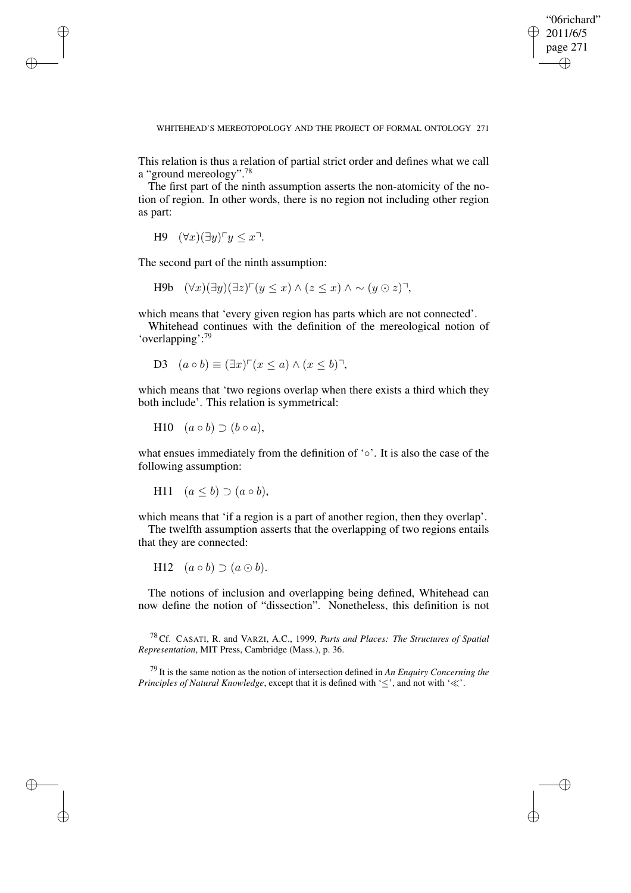"06richard" 2011/6/5 page 271 ✐ ✐

✐

✐

WHITEHEAD'S MEREOTOPOLOGY AND THE PROJECT OF FORMAL ONTOLOGY 271

This relation is thus a relation of partial strict order and defines what we call a "ground mereology".<sup>78</sup>

The first part of the ninth assumption asserts the non-atomicity of the notion of region. In other words, there is no region not including other region as part:

```
H9 (\forall x)(\exists y) \ulcorner y \leq x \urcorner.
```
✐

✐

✐

✐

The second part of the ninth assumption:

H9b  $(\forall x)(\exists y)(\exists z)^{\sqcap}(y \leq x) \wedge (z \leq x) \wedge \sim (y \odot z)^{\sqcap}$ 

which means that 'every given region has parts which are not connected'.

Whitehead continues with the definition of the mereological notion of 'overlapping':<sup>79</sup>

D3 
$$
(a \circ b) \equiv (\exists x)^{\sqcap}(x \leq a) \land (x \leq b)^{\sqcap}
$$
,

which means that 'two regions overlap when there exists a third which they both include'. This relation is symmetrical:

$$
H10 \quad (a \circ b) \supset (b \circ a),
$$

what ensues immediately from the definition of '∘'. It is also the case of the following assumption:

H11 
$$
(a \le b) \supset (a \circ b)
$$
,

which means that 'if a region is a part of another region, then they overlap'.

The twelfth assumption asserts that the overlapping of two regions entails that they are connected:

H12  $(a \circ b) \supset (a \odot b)$ .

The notions of inclusion and overlapping being defined, Whitehead can now define the notion of "dissection". Nonetheless, this definition is not

<sup>78</sup> Cf. CASATI, R. and VARZI, A.C., 1999, *Parts and Places: The Structures of Spatial Representation*, MIT Press, Cambridge (Mass.), p. 36.

<sup>79</sup> It is the same notion as the notion of intersection defined in *An Enquiry Concerning the Principles of Natural Knowledge*, except that it is defined with ' $\leq$ ', and not with ' $\ll$ '.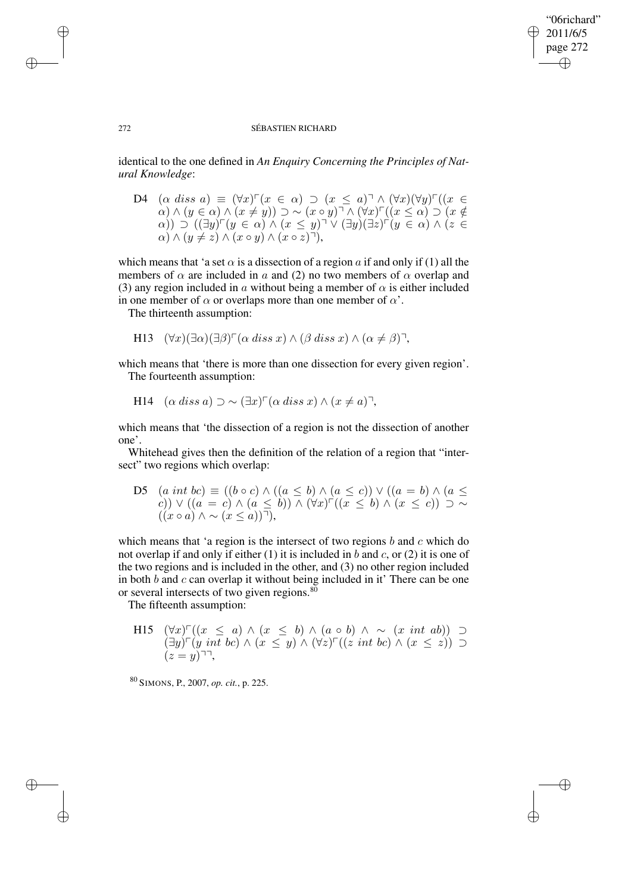## "06richard" 2011/6/5 page 272 ✐ ✐

✐

✐

### 272 SÉBASTIEN RICHARD

identical to the one defined in *An Enquiry Concerning the Principles of Natural Knowledge*:

D4  $(\alpha \text{ diss } a) \equiv (\forall x) \ulcorner (x \in \alpha) \supset (x \leq a) \urcorner \wedge (\forall x) (\forall y) \ulcorner ((x \in \alpha))$  $(\alpha) \wedge (y \in \alpha) \wedge (x \neq y)) \supset \sim (x \circ y)^{\neg} \wedge (\forall x)^{\neg}((x \leq \alpha) \supset (x \notin \alpha))$  $\alpha$ ))  $\supset$   $((\exists y)^{\sqcap}(y \in \alpha) \wedge (x \leq y)^{\sqcap} \vee (\exists y)(\exists z)^{\sqcap}(y \in \alpha) \wedge (z \in$  $\alpha) \wedge (y \neq z) \wedge (x \circ y) \wedge (x \circ z)$ ,

which means that 'a set  $\alpha$  is a dissection of a region a if and only if (1) all the members of  $\alpha$  are included in a and (2) no two members of  $\alpha$  overlap and (3) any region included in a without being a member of  $\alpha$  is either included in one member of  $\alpha$  or overlaps more than one member of  $\alpha'$ .

The thirteenth assumption:

H13 
$$
(\forall x)(\exists \alpha)(\exists \beta)^{\sqcap} (\alpha \text{ diss } x) \land (\beta \text{ diss } x) \land (\alpha \neq \beta)^{\sqcap}
$$
,

which means that 'there is more than one dissection for every given region'. The fourteenth assumption:

H14 
$$
(\alpha \text{ diss } a) \supset \sim (\exists x)^{\sqcap} (\alpha \text{ diss } x) \land (x \neq a)^{\sqcap}
$$
,

which means that 'the dissection of a region is not the dissection of another one'.

Whitehead gives then the definition of the relation of a region that "intersect" two regions which overlap:

D5  $(a \text{ int } bc) \equiv ((b \circ c) \land ((a \le b) \land (a \le c)) \lor ((a = b) \land (a \le c))$ c)) ∨ ( $(a = c) \wedge (a \le b)$ ) ∧  $(\forall x)$ <sup>r</sup> $((x \le b) \wedge (x \le c)) \supset \sim$  $((x \circ a) \land \sim (x \leq a))$ ,

which means that 'a region is the intersect of two regions  $b$  and  $c$  which do not overlap if and only if either (1) it is included in b and c, or (2) it is one of the two regions and is included in the other, and (3) no other region included in both  $b$  and  $c$  can overlap it without being included in it' There can be one or several intersects of two given regions. $80$ 

The fifteenth assumption:

H15  $(\forall x) \ulcorner ((x \leq a) \wedge (x \leq b) \wedge (a \circ b) \wedge \sim (x \text{ int } ab)) \supset$  $(\exists y) \ulcorner (y \text{ int } bc) \wedge (x \leq y) \wedge (\forall z) \ulcorner ((z \text{ int } bc) \wedge (x \leq z)) \supset$  $(z = y)^{\neg \neg},$ 

<sup>80</sup> SIMONS, P., 2007, *op. cit.*, p. 225.

✐

✐

✐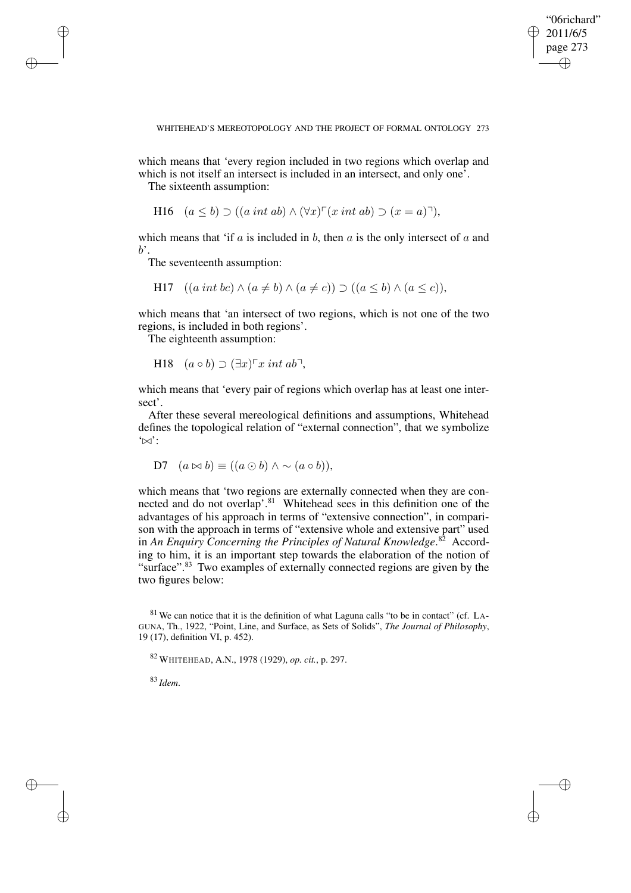✐

### WHITEHEAD'S MEREOTOPOLOGY AND THE PROJECT OF FORMAL ONTOLOGY 273

which means that 'every region included in two regions which overlap and which is not itself an intersect is included in an intersect, and only one<sup>5</sup>.

The sixteenth assumption:

✐

✐

✐

✐

H16 
$$
(a \le b) \supset ((a \text{ int } ab) \wedge (\forall x)^\sqcap (x \text{ int } ab) \supset (x = a)^\sqcap),
$$

which means that 'if  $a$  is included in  $b$ , then  $a$  is the only intersect of  $a$  and  $b^{\prime}$ .

The seventeenth assumption:

$$
H17 \quad ((a \text{ int } bc) \land (a \neq b) \land (a \neq c)) \supset ((a \leq b) \land (a \leq c)),
$$

which means that 'an intersect of two regions, which is not one of the two regions, is included in both regions'.

The eighteenth assumption:

H18 
$$
(a \circ b) \supset (\exists x)^{\sqcap} x \text{ int } ab^{\sqcap}
$$
,

which means that 'every pair of regions which overlap has at least one intersect'.

After these several mereological definitions and assumptions, Whitehead defines the topological relation of "external connection", that we symbolize  $\dot{\infty}$ :

D7 
$$
(a \bowtie b) \equiv ((a \odot b) \wedge \sim (a \circ b)),
$$

which means that 'two regions are externally connected when they are connected and do not overlap'.<sup>81</sup> Whitehead sees in this definition one of the advantages of his approach in terms of "extensive connection", in comparison with the approach in terms of "extensive whole and extensive part" used in *An Enquiry Concerning the Principles of Natural Knowledge*. <sup>82</sup> According to him, it is an important step towards the elaboration of the notion of "surface".<sup>83</sup> Two examples of externally connected regions are given by the two figures below:

<sup>82</sup> WHITEHEAD, A.N., 1978 (1929), *op. cit.*, p. 297.

<sup>83</sup> *Idem*.

<sup>81</sup> We can notice that it is the definition of what Laguna calls "to be in contact" (cf. LA-GUNA, Th., 1922, "Point, Line, and Surface, as Sets of Solids", *The Journal of Philosophy*, 19 (17), definition VI, p. 452).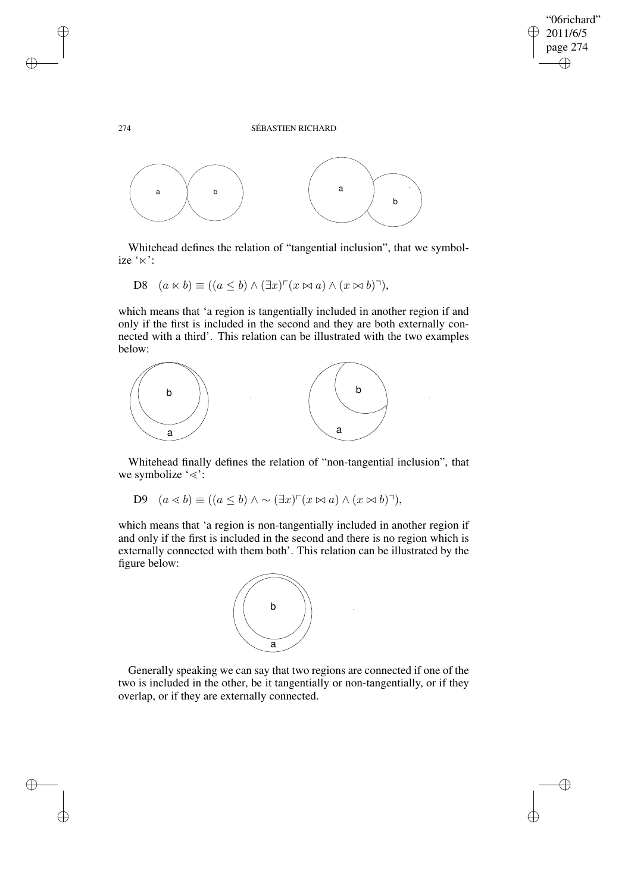✐

### 274 SÉBASTIEN RICHARD



Whitehead defines the relation of "tangential inclusion", that we symbolize ' $\ltimes$ ':

$$
D8 \quad (a \ltimes b) \equiv ((a \le b) \wedge (\exists x)^{\sqcap}(x \bowtie a) \wedge (x \bowtie b)^{\sqcap}),
$$

which means that 'a region is tangentially included in another region if and only if the first is included in the second and they are both externally connected with a third'. This relation can be illustrated with the two examples below:



Whitehead finally defines the relation of "non-tangential inclusion", that we symbolize ' $\le$ ':

$$
D9 \quad (a \le b) \equiv ((a \le b) \land \sim (\exists x)^{\sqcap}(x \bowtie a) \land (x \bowtie b)^{\sqcap}),
$$

which means that 'a region is non-tangentially included in another region if and only if the first is included in the second and there is no region which is externally connected with them both'. This relation can be illustrated by the figure below:



Generally speaking we can say that two regions are connected if one of the two is included in the other, be it tangentially or non-tangentially, or if they overlap, or if they are externally connected.

✐

✐

✐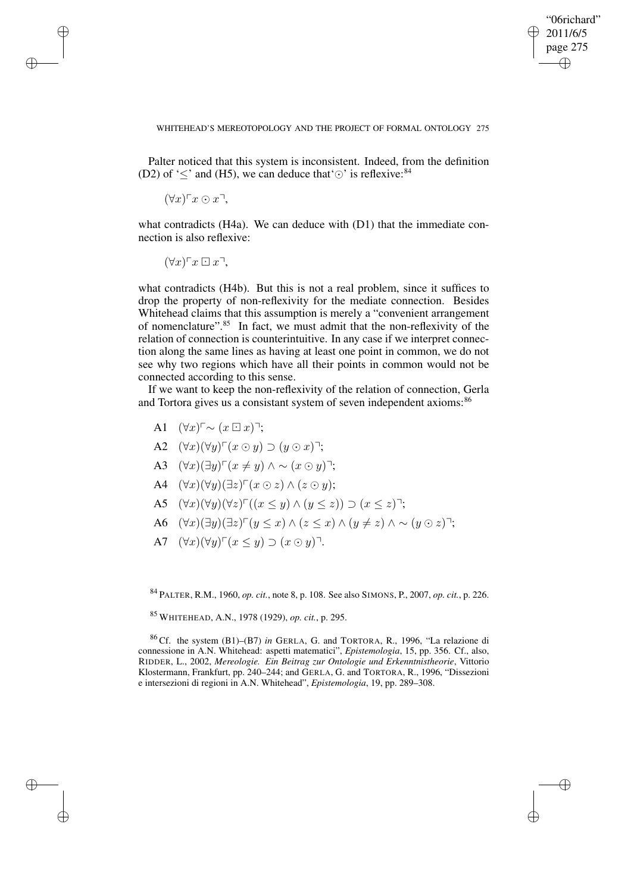✐

### WHITEHEAD'S MEREOTOPOLOGY AND THE PROJECT OF FORMAL ONTOLOGY 275

Palter noticed that this system is inconsistent. Indeed, from the definition (D2) of ' $\leq$ ' and (H5), we can deduce that ' $\odot$ ' is reflexive:<sup>84</sup>

 $(\forall x) \ulcorner x \odot x \urcorner$ 

✐

✐

✐

✐

what contradicts (H4a). We can deduce with (D1) that the immediate connection is also reflexive:

 $(\forall x) \ulcorner x \boxdot x$ ,

what contradicts (H4b). But this is not a real problem, since it suffices to drop the property of non-reflexivity for the mediate connection. Besides Whitehead claims that this assumption is merely a "convenient arrangement of nomenclature".<sup>85</sup> In fact, we must admit that the non-reflexivity of the relation of connection is counterintuitive. In any case if we interpret connection along the same lines as having at least one point in common, we do not see why two regions which have all their points in common would not be connected according to this sense.

If we want to keep the non-reflexivity of the relation of connection, Gerla and Tortora gives us a consistant system of seven independent axioms:<sup>86</sup>

- A1  $(\forall x)^\sqsubset \sim (x \boxdot x)^\sqsupset$ ;
- A2  $(\forall x)(\forall y) \ulcorner (x \odot y) \supset (y \odot x) \urcorner;$
- A3  $(\forall x)(\exists y) \ulcorner (x \neq y) \land \sim (x \odot y) \urcorner;$
- A4  $(\forall x)(\forall y)(\exists z)^{\sqcap}(x \odot z) \wedge (z \odot y);$
- A5  $(\forall x)(\forall y)(\forall z)^{\top}((x \leq y) \wedge (y \leq z)) \supset (x \leq z)^{\top};$
- A6  $(\forall x)(\exists y)(\exists z)^{\top}(y \leq x) \wedge (z \leq x) \wedge (y \neq z) \wedge \sim (y \odot z)^{\top};$
- A7  $(\forall x)(\forall y) \ulcorner (x \leq y) \supset (x \odot y) \urcorner$ .

<sup>84</sup> PALTER, R.M., 1960, *op. cit.*, note 8, p. 108. See also SIMONS, P., 2007, *op. cit.*, p. 226.

<sup>85</sup> WHITEHEAD, A.N., 1978 (1929), *op. cit.*, p. 295.

<sup>86</sup> Cf. the system (B1)–(B7) *in* GERLA, G. and TORTORA, R., 1996, "La relazione di connessione in A.N. Whitehead: aspetti matematici", *Epistemologia*, 15, pp. 356. Cf., also, RIDDER, L., 2002, *Mereologie. Ein Beitrag zur Ontologie und Erkenntnistheorie*, Vittorio Klostermann, Frankfurt, pp. 240–244; and GERLA, G. and TORTORA, R., 1996, "Dissezioni e intersezioni di regioni in A.N. Whitehead", *Epistemologia*, 19, pp. 289–308.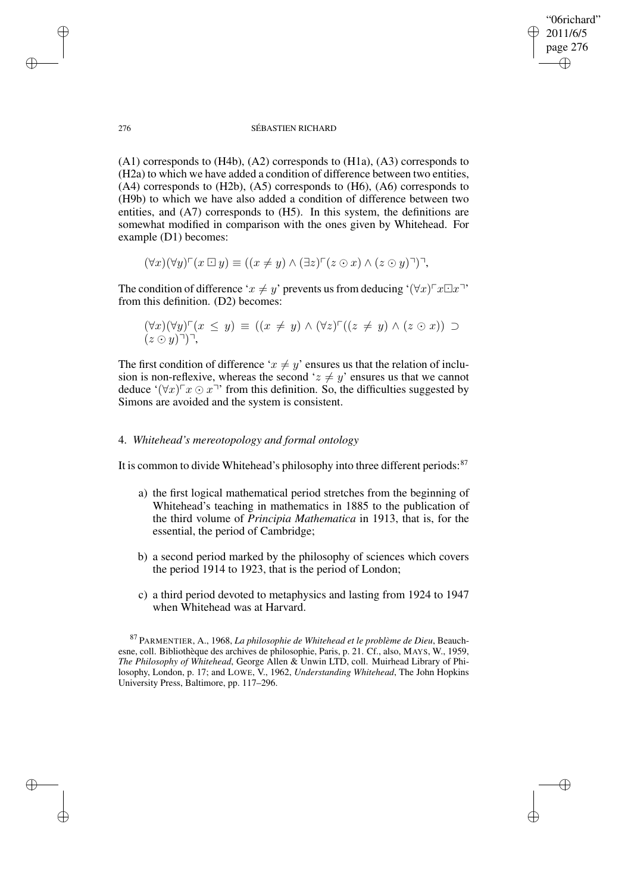"06richard" 2011/6/5 page 276 ✐ ✐

✐

✐

### 276 SÉBASTIEN RICHARD

(A1) corresponds to (H4b), (A2) corresponds to (H1a), (A3) corresponds to (H2a) to which we have added a condition of difference between two entities, (A4) corresponds to (H2b), (A5) corresponds to (H6), (A6) corresponds to (H9b) to which we have also added a condition of difference between two entities, and (A7) corresponds to (H5). In this system, the definitions are somewhat modified in comparison with the ones given by Whitehead. For example (D1) becomes:

$$
(\forall x)(\forall y)^{\sqcap}(x \boxdot y) \equiv ((x \neq y) \land (\exists z)^{\sqcap}(z \odot x) \land (z \odot y)^{\sqcap})^{\sqcap},
$$

The condition of difference ' $x \neq y'$  prevents us from deducing ' $(\forall x) \negthinspace \ulcorner x \Box x \negthinspace \urcorner$ ' from this definition. (D2) becomes:

$$
(\forall x)(\forall y)^{\sqcap}(x \leq y) \equiv ((x \neq y) \land (\forall z)^{\sqcap}((z \neq y) \land (z \odot x)) \supseteq (z \odot y)^{\sqcap})^{\sqcap},
$$

The first condition of difference ' $x \neq y$ ' ensures us that the relation of inclusion is non-reflexive, whereas the second ' $z \neq y$ ' ensures us that we cannot deduce ' $(\forall x)$ <sup>T</sup> $x \odot x$ <sup>T</sup>' from this definition. So, the difficulties suggested by Simons are avoided and the system is consistent.

# 4. *Whitehead's mereotopology and formal ontology*

It is common to divide Whitehead's philosophy into three different periods: $87$ 

- a) the first logical mathematical period stretches from the beginning of Whitehead's teaching in mathematics in 1885 to the publication of the third volume of *Principia Mathematica* in 1913, that is, for the essential, the period of Cambridge;
- b) a second period marked by the philosophy of sciences which covers the period 1914 to 1923, that is the period of London;
- c) a third period devoted to metaphysics and lasting from 1924 to 1947 when Whitehead was at Harvard.

✐

✐

✐

<sup>87</sup> PARMENTIER, A., 1968, *La philosophie de Whitehead et le problème de Dieu*, Beauchesne, coll. Bibliothèque des archives de philosophie, Paris, p. 21. Cf., also, MAYS, W., 1959, *The Philosophy of Whitehead*, George Allen & Unwin LTD, coll. Muirhead Library of Philosophy, London, p. 17; and LOWE, V., 1962, *Understanding Whitehead*, The John Hopkins University Press, Baltimore, pp. 117–296.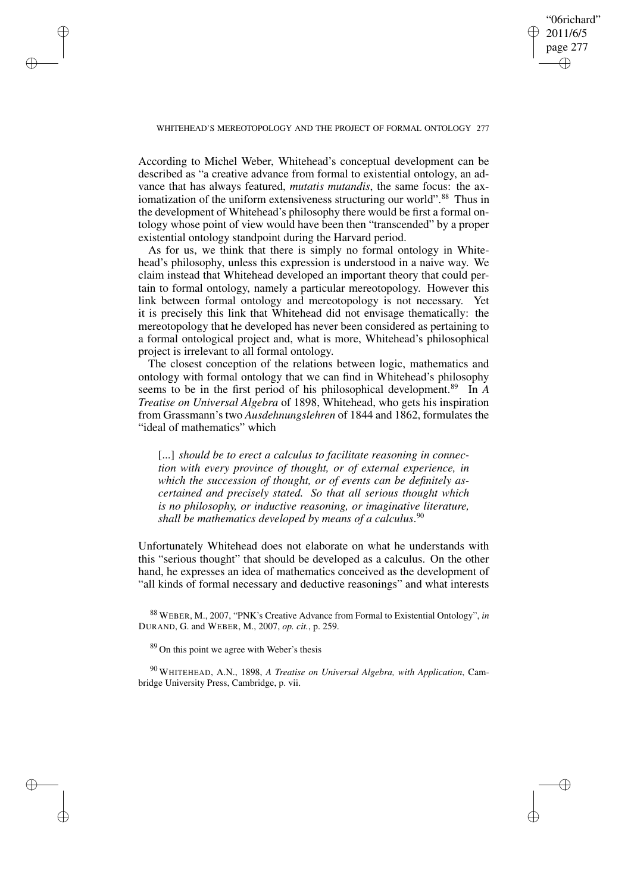✐

### WHITEHEAD'S MEREOTOPOLOGY AND THE PROJECT OF FORMAL ONTOLOGY 277

✐

✐

✐

✐

According to Michel Weber, Whitehead's conceptual development can be described as "a creative advance from formal to existential ontology, an advance that has always featured, *mutatis mutandis*, the same focus: the axiomatization of the uniform extensiveness structuring our world".<sup>88</sup> Thus in the development of Whitehead's philosophy there would be first a formal ontology whose point of view would have been then "transcended" by a proper existential ontology standpoint during the Harvard period.

As for us, we think that there is simply no formal ontology in Whitehead's philosophy, unless this expression is understood in a naive way. We claim instead that Whitehead developed an important theory that could pertain to formal ontology, namely a particular mereotopology. However this link between formal ontology and mereotopology is not necessary. Yet it is precisely this link that Whitehead did not envisage thematically: the mereotopology that he developed has never been considered as pertaining to a formal ontological project and, what is more, Whitehead's philosophical project is irrelevant to all formal ontology.

The closest conception of the relations between logic, mathematics and ontology with formal ontology that we can find in Whitehead's philosophy seems to be in the first period of his philosophical development.<sup>89</sup> In *A Treatise on Universal Algebra* of 1898, Whitehead, who gets his inspiration from Grassmann's two *Ausdehnungslehren* of 1844 and 1862, formulates the "ideal of mathematics" which

[...] *should be to erect a calculus to facilitate reasoning in connection with every province of thought, or of external experience, in which the succession of thought, or of events can be definitely ascertained and precisely stated. So that all serious thought which is no philosophy, or inductive reasoning, or imaginative literature, shall be mathematics developed by means of a calculus*. 90

Unfortunately Whitehead does not elaborate on what he understands with this "serious thought" that should be developed as a calculus. On the other hand, he expresses an idea of mathematics conceived as the development of "all kinds of formal necessary and deductive reasonings" and what interests

<sup>88</sup> WEBER, M., 2007, "PNK's Creative Advance from Formal to Existential Ontology", *in* DURAND, G. and WEBER, M., 2007, *op. cit.*, p. 259.

<sup>89</sup> On this point we agree with Weber's thesis

<sup>90</sup> WHITEHEAD, A.N., 1898, *A Treatise on Universal Algebra, with Application*, Cambridge University Press, Cambridge, p. vii.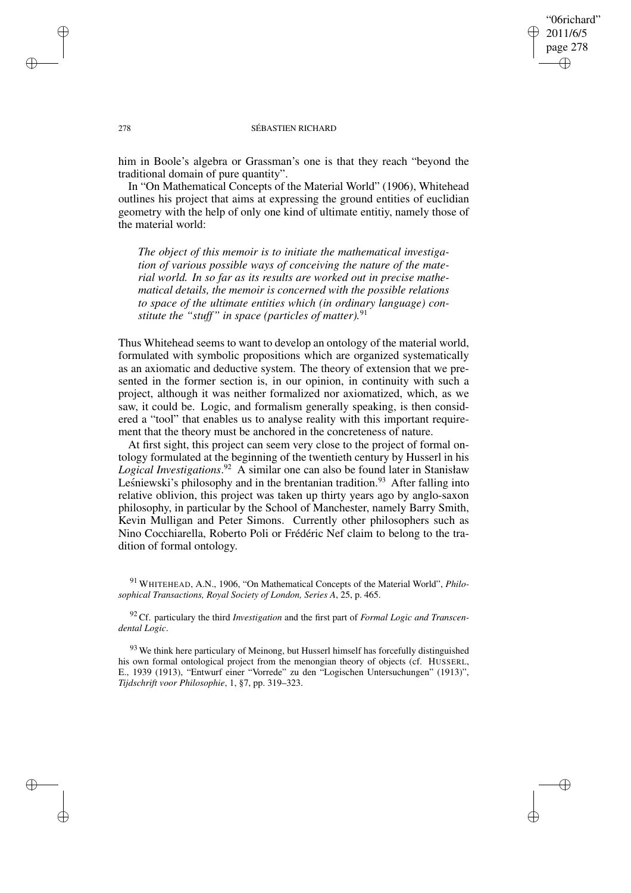## "06richard" 2011/6/5 page 278 ✐ ✐

✐

✐

### 278 SÉBASTIEN RICHARD

him in Boole's algebra or Grassman's one is that they reach "beyond the traditional domain of pure quantity".

In "On Mathematical Concepts of the Material World" (1906), Whitehead outlines his project that aims at expressing the ground entities of euclidian geometry with the help of only one kind of ultimate entitiy, namely those of the material world:

*The object of this memoir is to initiate the mathematical investigation of various possible ways of conceiving the nature of the material world. In so far as its results are worked out in precise mathematical details, the memoir is concerned with the possible relations to space of the ultimate entities which (in ordinary language) constitute the "stuff" in space (particles of matter).*<sup>91</sup>

Thus Whitehead seems to want to develop an ontology of the material world, formulated with symbolic propositions which are organized systematically as an axiomatic and deductive system. The theory of extension that we presented in the former section is, in our opinion, in continuity with such a project, although it was neither formalized nor axiomatized, which, as we saw, it could be. Logic, and formalism generally speaking, is then considered a "tool" that enables us to analyse reality with this important requirement that the theory must be anchored in the concreteness of nature.

At first sight, this project can seem very close to the project of formal ontology formulated at the beginning of the twentieth century by Husserl in his *Logical Investigations*. <sup>92</sup> A similar one can also be found later in Stanisław Lesniewski's philosophy and in the brentanian tradition.<sup>93</sup> After falling into relative oblivion, this project was taken up thirty years ago by anglo-saxon philosophy, in particular by the School of Manchester, namely Barry Smith, Kevin Mulligan and Peter Simons. Currently other philosophers such as Nino Cocchiarella, Roberto Poli or Frédéric Nef claim to belong to the tradition of formal ontology.

✐

✐

✐

<sup>91</sup> WHITEHEAD, A.N., 1906, "On Mathematical Concepts of the Material World", *Philosophical Transactions, Royal Society of London, Series A*, 25, p. 465.

<sup>92</sup> Cf. particulary the third *Investigation* and the first part of *Formal Logic and Transcendental Logic*.

<sup>&</sup>lt;sup>93</sup> We think here particulary of Meinong, but Husserl himself has forcefully distinguished his own formal ontological project from the menongian theory of objects (cf. HUSSERL, E., 1939 (1913), "Entwurf einer "Vorrede" zu den "Logischen Untersuchungen" (1913)", *Tijdschrift voor Philosophie*, 1, §7, pp. 319–323.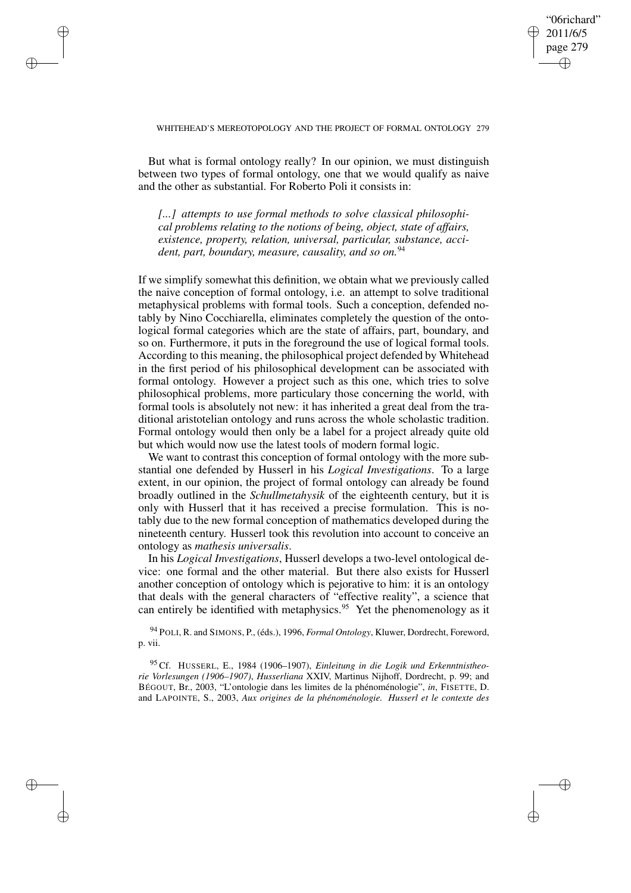"06richard" 2011/6/5 page 279 ✐ ✐

✐

✐

### WHITEHEAD'S MEREOTOPOLOGY AND THE PROJECT OF FORMAL ONTOLOGY 279

✐

✐

✐

✐

But what is formal ontology really? In our opinion, we must distinguish between two types of formal ontology, one that we would qualify as naive and the other as substantial. For Roberto Poli it consists in:

*[...] attempts to use formal methods to solve classical philosophical problems relating to the notions of being, object, state of affairs, existence, property, relation, universal, particular, substance, accident, part, boundary, measure, causality, and so on.*<sup>94</sup>

If we simplify somewhat this definition, we obtain what we previously called the naive conception of formal ontology, i.e. an attempt to solve traditional metaphysical problems with formal tools. Such a conception, defended notably by Nino Cocchiarella, eliminates completely the question of the ontological formal categories which are the state of affairs, part, boundary, and so on. Furthermore, it puts in the foreground the use of logical formal tools. According to this meaning, the philosophical project defended by Whitehead in the first period of his philosophical development can be associated with formal ontology. However a project such as this one, which tries to solve philosophical problems, more particulary those concerning the world, with formal tools is absolutely not new: it has inherited a great deal from the traditional aristotelian ontology and runs across the whole scholastic tradition. Formal ontology would then only be a label for a project already quite old but which would now use the latest tools of modern formal logic.

We want to contrast this conception of formal ontology with the more substantial one defended by Husserl in his *Logical Investigations*. To a large extent, in our opinion, the project of formal ontology can already be found broadly outlined in the *Schullmetahysik* of the eighteenth century, but it is only with Husserl that it has received a precise formulation. This is notably due to the new formal conception of mathematics developed during the nineteenth century. Husserl took this revolution into account to conceive an ontology as *mathesis universalis*.

In his *Logical Investigations*, Husserl develops a two-level ontological device: one formal and the other material. But there also exists for Husserl another conception of ontology which is pejorative to him: it is an ontology that deals with the general characters of "effective reality", a science that can entirely be identified with metaphysics.<sup>95</sup> Yet the phenomenology as it

<sup>94</sup> POLI, R. and SIMONS, P., (éds.), 1996, *Formal Ontology*, Kluwer, Dordrecht, Foreword, p. vii.

<sup>95</sup> Cf. HUSSERL, E., 1984 (1906–1907), *Einleitung in die Logik und Erkenntnistheorie Vorlesungen (1906–1907)*, *Husserliana* XXIV, Martinus Nijhoff, Dordrecht, p. 99; and BÉGOUT, Br., 2003, "L'ontologie dans les limites de la phénoménologie", *in*, FISETTE, D. and LAPOINTE, S., 2003, *Aux origines de la phénoménologie. Husserl et le contexte des*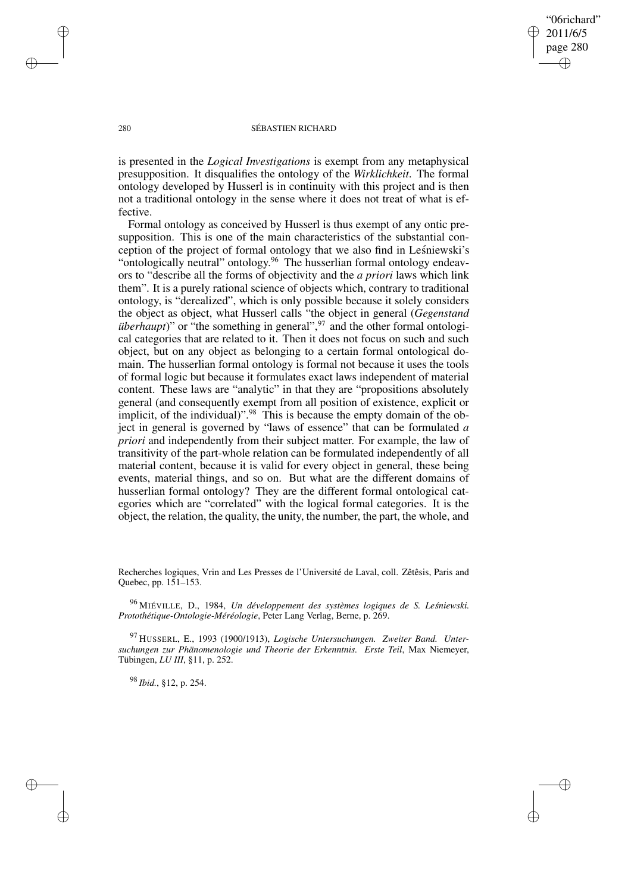"06richard" 2011/6/5 page 280 ✐ ✐

✐

✐

### 280 SÉBASTIEN RICHARD

is presented in the *Logical Investigations* is exempt from any metaphysical presupposition. It disqualifies the ontology of the *Wirklichkeit*. The formal ontology developed by Husserl is in continuity with this project and is then not a traditional ontology in the sense where it does not treat of what is effective.

Formal ontology as conceived by Husserl is thus exempt of any ontic presupposition. This is one of the main characteristics of the substantial conception of the project of formal ontology that we also find in Leśniewski's "ontologically neutral" ontology.<sup>96</sup> The husserlian formal ontology endeavors to "describe all the forms of objectivity and the *a priori* laws which link them". It is a purely rational science of objects which, contrary to traditional ontology, is "derealized", which is only possible because it solely considers the object as object, what Husserl calls "the object in general (*Gegenstand überhaupt*)" or "the something in general",<sup>97</sup> and the other formal ontological categories that are related to it. Then it does not focus on such and such object, but on any object as belonging to a certain formal ontological domain. The husserlian formal ontology is formal not because it uses the tools of formal logic but because it formulates exact laws independent of material content. These laws are "analytic" in that they are "propositions absolutely general (and consequently exempt from all position of existence, explicit or implicit, of the individual)".<sup>98</sup> This is because the empty domain of the object in general is governed by "laws of essence" that can be formulated *a priori* and independently from their subject matter. For example, the law of transitivity of the part-whole relation can be formulated independently of all material content, because it is valid for every object in general, these being events, material things, and so on. But what are the different domains of husserlian formal ontology? They are the different formal ontological categories which are "correlated" with the logical formal categories. It is the object, the relation, the quality, the unity, the number, the part, the whole, and

Recherches logiques, Vrin and Les Presses de l'Université de Laval, coll. Zêtêsis, Paris and Quebec, pp. 151–153.

<sup>96</sup> MIÉVILLE, D., 1984, *Un développement des systèmes logiques de S. Lesnie ´ wski. Protothétique-Ontologie-Méréologie*, Peter Lang Verlag, Berne, p. 269.

<sup>97</sup> HUSSERL, E., 1993 (1900/1913), *Logische Untersuchungen. Zweiter Band. Untersuchungen zur Phänomenologie und Theorie der Erkenntnis. Erste Teil*, Max Niemeyer, Tübingen, *LU III*, §11, p. 252.

<sup>98</sup> *Ibid.*, §12, p. 254.

✐

✐

✐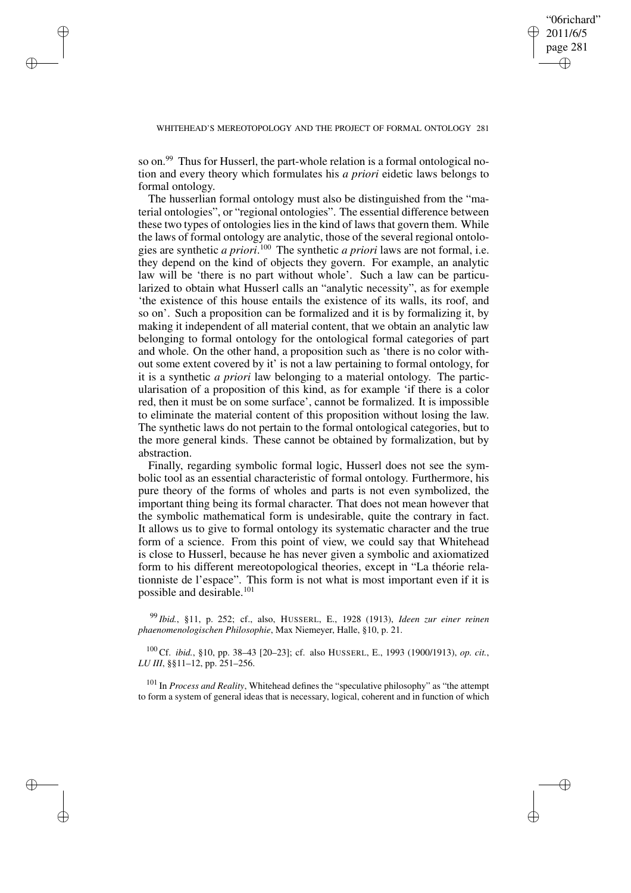✐

### WHITEHEAD'S MEREOTOPOLOGY AND THE PROJECT OF FORMAL ONTOLOGY 281

so on.<sup>99</sup> Thus for Husserl, the part-whole relation is a formal ontological notion and every theory which formulates his *a priori* eidetic laws belongs to formal ontology.

✐

✐

✐

✐

The husserlian formal ontology must also be distinguished from the "material ontologies", or "regional ontologies". The essential difference between these two types of ontologies lies in the kind of laws that govern them. While the laws of formal ontology are analytic, those of the several regional ontologies are synthetic *a priori*. <sup>100</sup> The synthetic *a priori* laws are not formal, i.e. they depend on the kind of objects they govern. For example, an analytic law will be 'there is no part without whole'. Such a law can be particularized to obtain what Husserl calls an "analytic necessity", as for exemple 'the existence of this house entails the existence of its walls, its roof, and so on'. Such a proposition can be formalized and it is by formalizing it, by making it independent of all material content, that we obtain an analytic law belonging to formal ontology for the ontological formal categories of part and whole. On the other hand, a proposition such as 'there is no color without some extent covered by it' is not a law pertaining to formal ontology, for it is a synthetic *a priori* law belonging to a material ontology. The particularisation of a proposition of this kind, as for example 'if there is a color red, then it must be on some surface', cannot be formalized. It is impossible to eliminate the material content of this proposition without losing the law. The synthetic laws do not pertain to the formal ontological categories, but to the more general kinds. These cannot be obtained by formalization, but by abstraction.

Finally, regarding symbolic formal logic, Husserl does not see the symbolic tool as an essential characteristic of formal ontology. Furthermore, his pure theory of the forms of wholes and parts is not even symbolized, the important thing being its formal character. That does not mean however that the symbolic mathematical form is undesirable, quite the contrary in fact. It allows us to give to formal ontology its systematic character and the true form of a science. From this point of view, we could say that Whitehead is close to Husserl, because he has never given a symbolic and axiomatized form to his different mereotopological theories, except in "La théorie relationniste de l'espace". This form is not what is most important even if it is possible and desirable.<sup>101</sup>

<sup>99</sup> *Ibid.*, §11, p. 252; cf., also, HUSSERL, E., 1928 (1913), *Ideen zur einer reinen phaenomenologischen Philosophie*, Max Niemeyer, Halle, §10, p. 21.

<sup>100</sup> Cf. *ibid.*, §10, pp. 38–43 [20–23]; cf. also HUSSERL, E., 1993 (1900/1913), *op. cit.*, *LU III*, §§11–12, pp. 251–256.

<sup>101</sup> In *Process and Reality*, Whitehead defines the "speculative philosophy" as "the attempt to form a system of general ideas that is necessary, logical, coherent and in function of which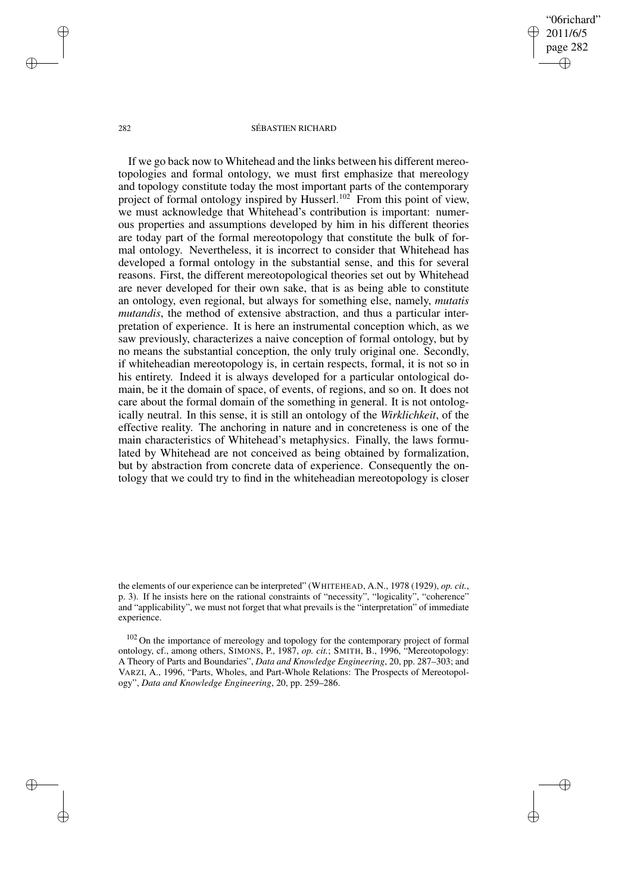"06richard" 2011/6/5 page 282 ✐ ✐

✐

✐

### 282 SÉBASTIEN RICHARD

If we go back now to Whitehead and the links between his different mereotopologies and formal ontology, we must first emphasize that mereology and topology constitute today the most important parts of the contemporary project of formal ontology inspired by Husserl.<sup>102</sup> From this point of view, we must acknowledge that Whitehead's contribution is important: numerous properties and assumptions developed by him in his different theories are today part of the formal mereotopology that constitute the bulk of formal ontology. Nevertheless, it is incorrect to consider that Whitehead has developed a formal ontology in the substantial sense, and this for several reasons. First, the different mereotopological theories set out by Whitehead are never developed for their own sake, that is as being able to constitute an ontology, even regional, but always for something else, namely, *mutatis mutandis*, the method of extensive abstraction, and thus a particular interpretation of experience. It is here an instrumental conception which, as we saw previously, characterizes a naive conception of formal ontology, but by no means the substantial conception, the only truly original one. Secondly, if whiteheadian mereotopology is, in certain respects, formal, it is not so in his entirety. Indeed it is always developed for a particular ontological domain, be it the domain of space, of events, of regions, and so on. It does not care about the formal domain of the something in general. It is not ontologically neutral. In this sense, it is still an ontology of the *Wirklichkeit*, of the effective reality. The anchoring in nature and in concreteness is one of the main characteristics of Whitehead's metaphysics. Finally, the laws formulated by Whitehead are not conceived as being obtained by formalization, but by abstraction from concrete data of experience. Consequently the ontology that we could try to find in the whiteheadian mereotopology is closer

✐

✐

✐

the elements of our experience can be interpreted" (WHITEHEAD, A.N., 1978 (1929), *op. cit.*, p. 3). If he insists here on the rational constraints of "necessity", "logicality", "coherence" and "applicability", we must not forget that what prevails is the "interpretation" of immediate experience.

<sup>&</sup>lt;sup>102</sup> On the importance of mereology and topology for the contemporary project of formal ontology, cf., among others, SIMONS, P., 1987, *op. cit.*; SMITH, B., 1996, "Mereotopology: A Theory of Parts and Boundaries", *Data and Knowledge Engineering*, 20, pp. 287–303; and VARZI, A., 1996, "Parts, Wholes, and Part-Whole Relations: The Prospects of Mereotopology", *Data and Knowledge Engineering*, 20, pp. 259–286.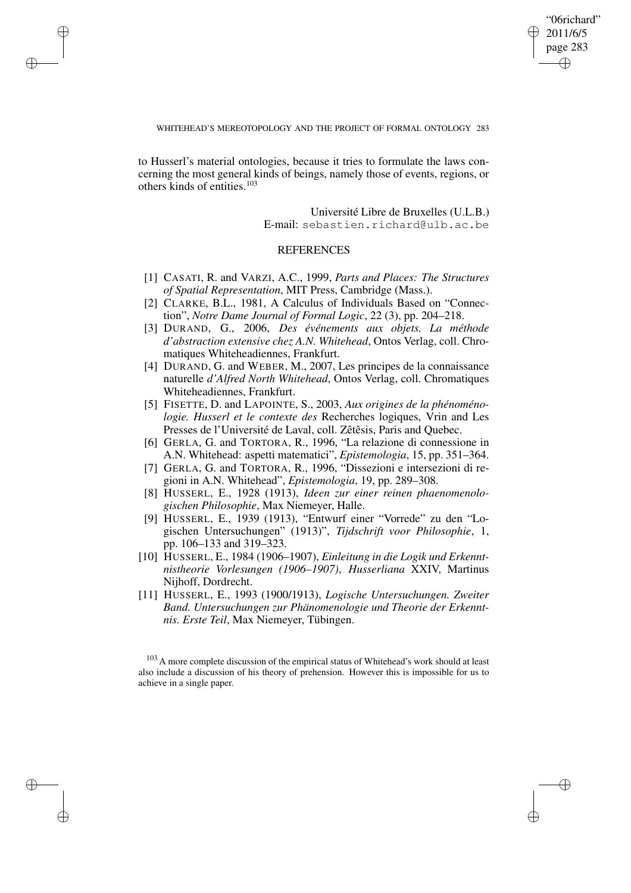"06richard" 2011/6/5 page 283 ✐ ✐

✐

✐

WHITEHEAD'S MEREOTOPOLOGY AND THE PROJECT OF FORMAL ONTOLOGY 283

to Husserl's material ontologies, because it tries to formulate the laws concerning the most general kinds of beings, namely those of events, regions, or others kinds of entities.<sup>103</sup>

✐

✐

✐

✐

Université Libre de Bruxelles (U.L.B.) E-mail: sebastien.richard@ulb.ac.be

## **REFERENCES**

- [1] CASATI, R. and VARZI, A.C., 1999, *Parts and Places: The Structures of Spatial Representation*, MIT Press, Cambridge (Mass.).
- [2] CLARKE, B.L., 1981, A Calculus of Individuals Based on "Connection", *Notre Dame Journal of Formal Logic*, 22 (3), pp. 204–218.
- [3] DURAND, G., 2006, *Des événements aux objets. La méthode d'abstraction extensive chez A.N. Whitehead*, Ontos Verlag, coll. Chromatiques Whiteheadiennes, Frankfurt.
- [4] DURAND, G. and WEBER, M., 2007, Les principes de la connaissance naturelle *d'Alfred North Whitehead*, Ontos Verlag, coll. Chromatiques Whiteheadiennes, Frankfurt.
- [5] FISETTE, D. and LAPOINTE, S., 2003, *Aux origines de la phénoménologie. Husserl et le contexte des* Recherches logiques, Vrin and Les Presses de l'Université de Laval, coll. Zêtêsis, Paris and Quebec.
- [6] GERLA, G. and TORTORA, R., 1996, "La relazione di connessione in A.N. Whitehead: aspetti matematici", *Epistemologia*, 15, pp. 351–364.
- [7] GERLA, G. and TORTORA, R., 1996, "Dissezioni e intersezioni di regioni in A.N. Whitehead", *Epistemologia*, 19, pp. 289–308.
- [8] HUSSERL, E., 1928 (1913), *Ideen zur einer reinen phaenomenologischen Philosophie*, Max Niemeyer, Halle.
- [9] HUSSERL, E., 1939 (1913), "Entwurf einer "Vorrede" zu den "Logischen Untersuchungen" (1913)", *Tijdschrift voor Philosophie*, 1, pp. 106–133 and 319–323.
- [10] HUSSERL, E., 1984 (1906–1907), *Einleitung in die Logik und Erkenntnistheorie Vorlesungen (1906–1907)*, *Husserliana* XXIV, Martinus Nijhoff, Dordrecht.
- [11] HUSSERL, E., 1993 (1900/1913), *Logische Untersuchungen. Zweiter Band. Untersuchungen zur Phänomenologie und Theorie der Erkenntnis. Erste Teil*, Max Niemeyer, Tübingen.

 $103$  A more complete discussion of the empirical status of Whitehead's work should at least also include a discussion of his theory of prehension. However this is impossible for us to achieve in a single paper.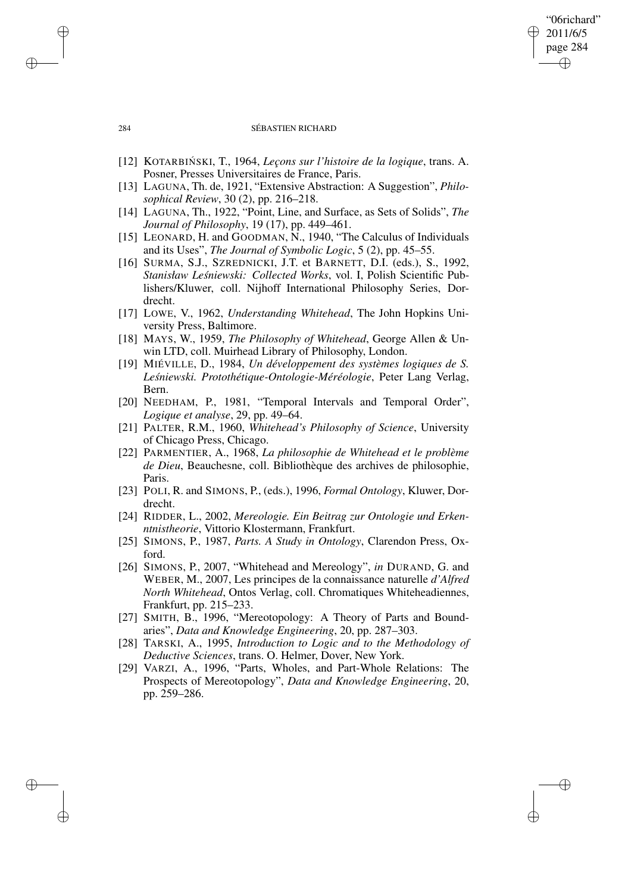### 284 SÉBASTIEN RICHARD

"06richard" 2011/6/5 page 284

✐

✐

✐

✐

- [12] KOTARBIN´ SKI, T., 1964, *Leçons sur l'histoire de la logique*, trans. A. Posner, Presses Universitaires de France, Paris.
- [13] LAGUNA, Th. de, 1921, "Extensive Abstraction: A Suggestion", *Philosophical Review*, 30 (2), pp. 216–218.
- [14] LAGUNA, Th., 1922, "Point, Line, and Surface, as Sets of Solids", *The Journal of Philosophy*, 19 (17), pp. 449–461.
- [15] LEONARD, H. and GOODMAN, N., 1940, "The Calculus of Individuals and its Uses", *The Journal of Symbolic Logic*, 5 (2), pp. 45–55.
- [16] SURMA, S.J., SZREDNICKI, J.T. et BARNETT, D.I. (eds.), S., 1992, *Stanisław Lesnie ´ wski: Collected Works*, vol. I, Polish Scientific Publishers/Kluwer, coll. Nijhoff International Philosophy Series, Dordrecht.
- [17] LOWE, V., 1962, *Understanding Whitehead*, The John Hopkins University Press, Baltimore.
- [18] MAYS, W., 1959, *The Philosophy of Whitehead*, George Allen & Unwin LTD, coll. Muirhead Library of Philosophy, London.
- [19] MIÉVILLE, D., 1984, *Un développement des systèmes logiques de S. Lesnie ´ wski. Protothétique-Ontologie-Méréologie*, Peter Lang Verlag, Bern.
- [20] NEEDHAM, P., 1981, "Temporal Intervals and Temporal Order", *Logique et analyse*, 29, pp. 49–64.
- [21] PALTER, R.M., 1960, *Whitehead's Philosophy of Science*, University of Chicago Press, Chicago.
- [22] PARMENTIER, A., 1968, *La philosophie de Whitehead et le problème de Dieu*, Beauchesne, coll. Bibliothèque des archives de philosophie, Paris.
- [23] POLI, R. and SIMONS, P., (eds.), 1996, *Formal Ontology*, Kluwer, Dordrecht.
- [24] RIDDER, L., 2002, *Mereologie. Ein Beitrag zur Ontologie und Erkenntnistheorie*, Vittorio Klostermann, Frankfurt.
- [25] SIMONS, P., 1987, *Parts. A Study in Ontology*, Clarendon Press, Oxford.
- [26] SIMONS, P., 2007, "Whitehead and Mereology", *in* DURAND, G. and WEBER, M., 2007, Les principes de la connaissance naturelle *d'Alfred North Whitehead*, Ontos Verlag, coll. Chromatiques Whiteheadiennes, Frankfurt, pp. 215–233.
- [27] SMITH, B., 1996, "Mereotopology: A Theory of Parts and Boundaries", *Data and Knowledge Engineering*, 20, pp. 287–303.
- [28] TARSKI, A., 1995, *Introduction to Logic and to the Methodology of Deductive Sciences*, trans. O. Helmer, Dover, New York.
- [29] VARZI, A., 1996, "Parts, Wholes, and Part-Whole Relations: The Prospects of Mereotopology", *Data and Knowledge Engineering*, 20, pp. 259–286.

✐

✐

✐